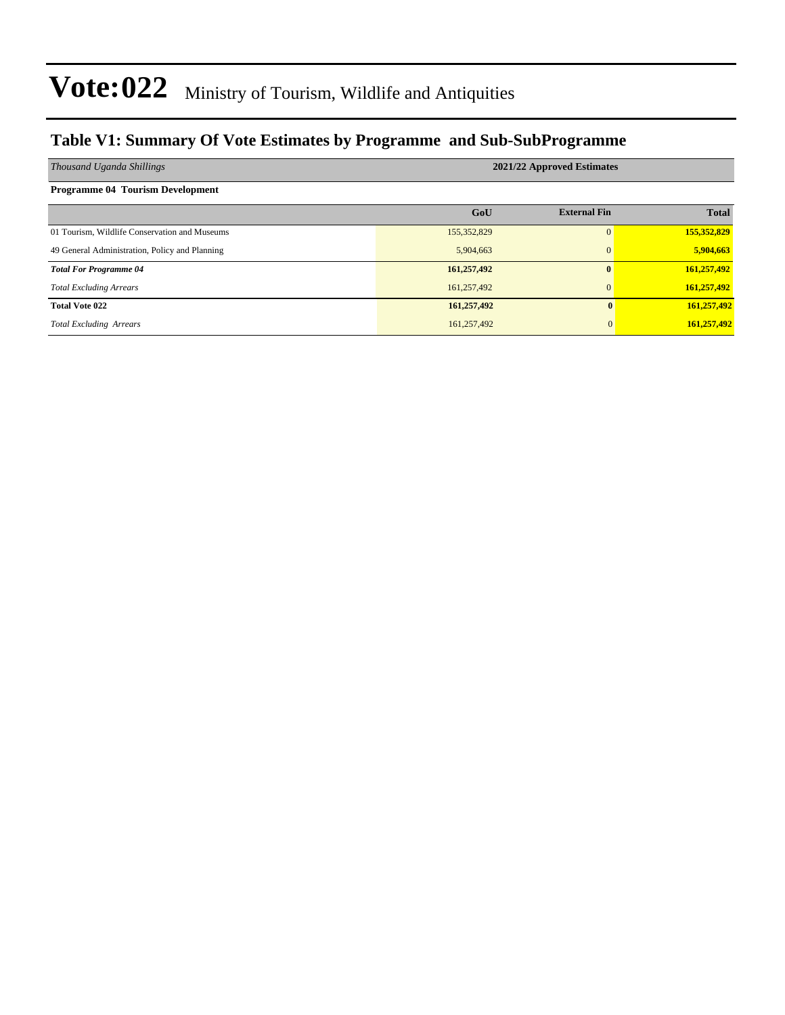### **Table V1: Summary Of Vote Estimates by Programme and Sub-SubProgramme**

| Thousand Uganda Shillings                      | 2021/22 Approved Estimates |                     |              |  |  |  |  |
|------------------------------------------------|----------------------------|---------------------|--------------|--|--|--|--|
| <b>Programme 04 Tourism Development</b>        |                            |                     |              |  |  |  |  |
|                                                | GoU                        | <b>External Fin</b> | <b>Total</b> |  |  |  |  |
| 01 Tourism, Wildlife Conservation and Museums  | 155,352,829                | $\Omega$            | 155,352,829  |  |  |  |  |
| 49 General Administration, Policy and Planning | 5,904,663                  | $\overline{0}$      | 5,904,663    |  |  |  |  |
| <b>Total For Programme 04</b>                  | 161,257,492                |                     | 161,257,492  |  |  |  |  |
| <b>Total Excluding Arrears</b>                 | 161,257,492                | $\mathbf{0}$        | 161,257,492  |  |  |  |  |
| <b>Total Vote 022</b>                          | 161,257,492                | 0                   | 161,257,492  |  |  |  |  |
| <b>Total Excluding Arrears</b>                 | 161,257,492                | $\overline{0}$      | 161,257,492  |  |  |  |  |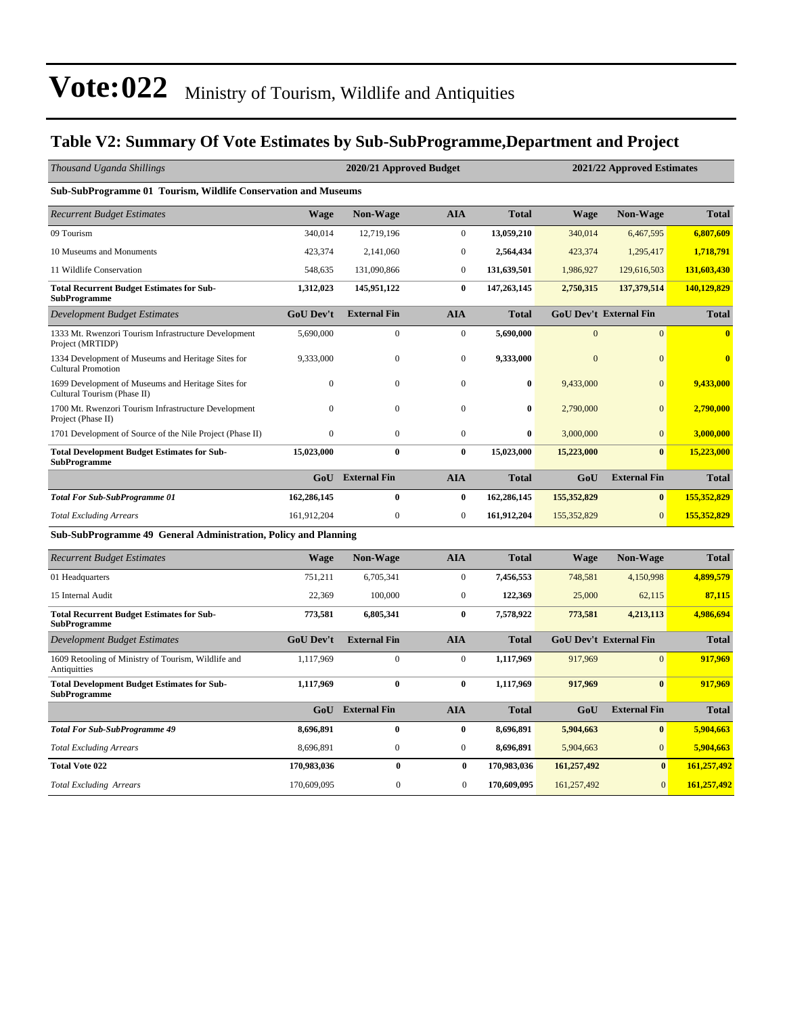### **Table V2: Summary Of Vote Estimates by Sub-SubProgramme,Department and Project**

| Thousand Uganda Shillings                                                         |                  | 2020/21 Approved Budget |                  |              |                | 2021/22 Approved Estimates    |                         |  |  |
|-----------------------------------------------------------------------------------|------------------|-------------------------|------------------|--------------|----------------|-------------------------------|-------------------------|--|--|
| Sub-SubProgramme 01 Tourism, Wildlife Conservation and Museums                    |                  |                         |                  |              |                |                               |                         |  |  |
| <b>Recurrent Budget Estimates</b>                                                 | <b>Wage</b>      | <b>Non-Wage</b>         | <b>AIA</b>       | <b>Total</b> | Wage           | <b>Non-Wage</b>               | <b>Total</b>            |  |  |
| 09 Tourism                                                                        | 340,014          | 12,719,196              | $\mathbf{0}$     | 13,059,210   | 340,014        | 6,467,595                     | 6,807,609               |  |  |
| 10 Museums and Monuments                                                          | 423,374          | 2,141,060               | $\boldsymbol{0}$ | 2,564,434    | 423,374        | 1,295,417                     | 1,718,791               |  |  |
| 11 Wildlife Conservation                                                          | 548,635          | 131,090,866             | $\boldsymbol{0}$ | 131,639,501  | 1,986,927      | 129,616,503                   | 131,603,430             |  |  |
| <b>Total Recurrent Budget Estimates for Sub-</b><br><b>SubProgramme</b>           | 1,312,023        | 145,951,122             | $\bf{0}$         | 147,263,145  | 2,750,315      | 137,379,514                   | 140,129,829             |  |  |
| <b>Development Budget Estimates</b>                                               | <b>GoU Dev't</b> | <b>External Fin</b>     | <b>AIA</b>       | <b>Total</b> |                | <b>GoU Dev't External Fin</b> | <b>Total</b>            |  |  |
| 1333 Mt. Rwenzori Tourism Infrastructure Development<br>Project (MRTIDP)          | 5,690,000        | $\boldsymbol{0}$        | $\boldsymbol{0}$ | 5,690,000    | $\theta$       | $\Omega$                      | $\overline{\mathbf{0}}$ |  |  |
| 1334 Development of Museums and Heritage Sites for<br><b>Cultural Promotion</b>   | 9,333,000        | $\mathbf{0}$            | $\boldsymbol{0}$ | 9,333,000    | $\overline{0}$ | $\overline{0}$                | $\overline{\mathbf{0}}$ |  |  |
| 1699 Development of Museums and Heritage Sites for<br>Cultural Tourism (Phase II) | $\mathbf{0}$     | $\boldsymbol{0}$        | $\boldsymbol{0}$ | $\bf{0}$     | 9,433,000      | $\overline{0}$                | 9,433,000               |  |  |
| 1700 Mt. Rwenzori Tourism Infrastructure Development<br>Project (Phase II)        | $\Omega$         | $\mathbf{0}$            | $\boldsymbol{0}$ | $\bf{0}$     | 2,790,000      | $\Omega$                      | 2,790,000               |  |  |
| 1701 Development of Source of the Nile Project (Phase II)                         | $\mathbf{0}$     | $\mathbf{0}$            | $\mathbf{0}$     | $\bf{0}$     | 3,000,000      | $\overline{0}$                | 3,000,000               |  |  |
| <b>Total Development Budget Estimates for Sub-</b><br><b>SubProgramme</b>         | 15,023,000       | $\bf{0}$                | $\bf{0}$         | 15,023,000   | 15,223,000     | $\bf{0}$                      | 15,223,000              |  |  |
|                                                                                   | GoU              | <b>External Fin</b>     | <b>AIA</b>       | <b>Total</b> | GoU            | <b>External Fin</b>           | <b>Total</b>            |  |  |
| <b>Total For Sub-SubProgramme 01</b>                                              | 162,286,145      | $\bf{0}$                | $\bf{0}$         | 162,286,145  | 155,352,829    | $\bf{0}$                      | 155,352,829             |  |  |
| <b>Total Excluding Arrears</b>                                                    | 161,912,204      | $\boldsymbol{0}$        | $\boldsymbol{0}$ | 161,912,204  | 155,352,829    | $\mathbf{0}$                  | 155,352,829             |  |  |
| Sub-SubProgramme 49 General Administration, Policy and Planning                   |                  |                         |                  |              |                |                               |                         |  |  |
| <b>Recurrent Budget Estimates</b>                                                 | <b>Wage</b>      | <b>Non-Wage</b>         | <b>AIA</b>       | <b>Total</b> | <b>Wage</b>    | <b>Non-Wage</b>               | <b>Total</b>            |  |  |
| 01 Headquarters                                                                   | 751,211          | 6,705,341               | $\mathbf{0}$     | 7,456,553    | 748,581        | 4,150,998                     | 4,899,579               |  |  |
| 15 Internal Audit                                                                 | 22,369           | 100,000                 | $\boldsymbol{0}$ | 122,369      | 25,000         | 62,115                        | 87,115                  |  |  |
| <b>Total Recurrent Budget Estimates for Sub-</b><br><b>SubProgramme</b>           | 773,581          | 6,805,341               | $\bf{0}$         | 7,578,922    | 773,581        | 4,213,113                     | 4,986,694               |  |  |
| Development Budget Estimates                                                      | <b>GoU Dev't</b> | <b>External Fin</b>     | <b>AIA</b>       | <b>Total</b> |                | <b>GoU Dev't External Fin</b> | <b>Total</b>            |  |  |
| 1609 Retooling of Ministry of Tourism, Wildlife and<br>Antiquitties               | 1,117,969        | $\mathbf{0}$            | $\boldsymbol{0}$ | 1,117,969    | 917,969        | $\overline{0}$                | 917,969                 |  |  |
| <b>Total Development Budget Estimates for Sub-</b><br><b>SubProgramme</b>         | 1,117,969        | $\bf{0}$                | $\bf{0}$         | 1,117,969    | 917,969        | $\bf{0}$                      | 917,969                 |  |  |
|                                                                                   | GoU              | <b>External Fin</b>     | <b>AIA</b>       | <b>Total</b> | GoU            | <b>External Fin</b>           | <b>Total</b>            |  |  |
| <b>Total For Sub-SubProgramme 49</b>                                              | 8,696,891        | $\bf{0}$                | $\bf{0}$         | 8,696,891    | 5,904,663      | $\bf{0}$                      | 5,904,663               |  |  |
| <b>Total Excluding Arrears</b>                                                    | 8,696,891        | $\boldsymbol{0}$        | $\boldsymbol{0}$ | 8,696,891    | 5,904,663      | $\overline{0}$                | 5,904,663               |  |  |
| <b>Total Vote 022</b>                                                             | 170,983,036      | $\bf{0}$                | $\bf{0}$         | 170,983,036  | 161,257,492    | $\bf{0}$                      | 161,257,492             |  |  |
| <b>Total Excluding Arrears</b>                                                    | 170,609,095      | $\overline{0}$          | $\mathbf{0}$     | 170,609,095  | 161,257,492    | $\overline{0}$                | 161,257,492             |  |  |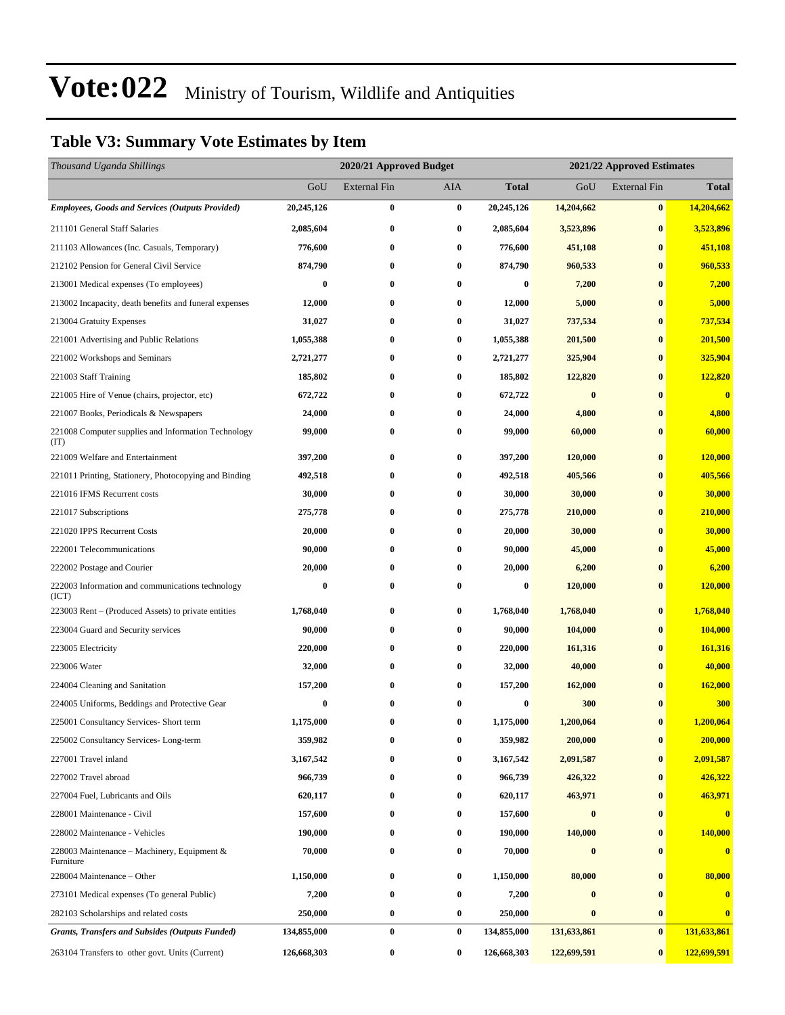### **Table V3: Summary Vote Estimates by Item**

| Thousand Uganda Shillings                                   |             | 2020/21 Approved Budget |                  |              | 2021/22 Approved Estimates |              |              |  |
|-------------------------------------------------------------|-------------|-------------------------|------------------|--------------|----------------------------|--------------|--------------|--|
|                                                             | GoU         | External Fin            | AIA              | <b>Total</b> | GoU                        | External Fin | <b>Total</b> |  |
| <b>Employees, Goods and Services (Outputs Provided)</b>     | 20,245,126  | $\bf{0}$                | $\bf{0}$         | 20,245,126   | 14,204,662                 | $\pmb{0}$    | 14,204,662   |  |
| 211101 General Staff Salaries                               | 2,085,604   | $\bf{0}$                | $\bf{0}$         | 2,085,604    | 3,523,896                  | $\bf{0}$     | 3,523,896    |  |
| 211103 Allowances (Inc. Casuals, Temporary)                 | 776,600     | $\bf{0}$                | $\bf{0}$         | 776,600      | 451,108                    | $\bf{0}$     | 451,108      |  |
| 212102 Pension for General Civil Service                    | 874,790     | $\bf{0}$                | $\bf{0}$         | 874,790      | 960,533                    | $\bf{0}$     | 960,533      |  |
| 213001 Medical expenses (To employees)                      | $\bf{0}$    | $\bf{0}$                | $\bf{0}$         | $\bf{0}$     | 7,200                      | $\bf{0}$     | 7,200        |  |
| 213002 Incapacity, death benefits and funeral expenses      | 12,000      | $\bf{0}$                | $\bf{0}$         | 12,000       | 5,000                      | $\bf{0}$     | 5,000        |  |
| 213004 Gratuity Expenses                                    | 31,027      | $\bf{0}$                | $\bf{0}$         | 31,027       | 737,534                    | $\bf{0}$     | 737,534      |  |
| 221001 Advertising and Public Relations                     | 1,055,388   | $\bf{0}$                | $\boldsymbol{0}$ | 1,055,388    | 201,500                    | $\bf{0}$     | 201,500      |  |
| 221002 Workshops and Seminars                               | 2,721,277   | $\bf{0}$                | $\bf{0}$         | 2,721,277    | 325,904                    | $\bf{0}$     | 325,904      |  |
| 221003 Staff Training                                       | 185,802     | $\bf{0}$                | 0                | 185,802      | 122,820                    | $\bf{0}$     | 122,820      |  |
| 221005 Hire of Venue (chairs, projector, etc)               | 672,722     | $\bf{0}$                | $\bf{0}$         | 672,722      | $\bf{0}$                   | $\bf{0}$     | $\bf{0}$     |  |
| 221007 Books, Periodicals & Newspapers                      | 24,000      | $\bf{0}$                | $\bf{0}$         | 24,000       | 4,800                      | $\bf{0}$     | 4,800        |  |
| 221008 Computer supplies and Information Technology<br>(TT) | 99,000      | $\bf{0}$                | $\bf{0}$         | 99,000       | 60,000                     | $\bf{0}$     | 60,000       |  |
| 221009 Welfare and Entertainment                            | 397,200     | $\bf{0}$                | $\bf{0}$         | 397,200      | 120,000                    | $\bf{0}$     | 120,000      |  |
| 221011 Printing, Stationery, Photocopying and Binding       | 492,518     | $\bf{0}$                | $\bf{0}$         | 492,518      | 405,566                    | $\bf{0}$     | 405,566      |  |
| 221016 IFMS Recurrent costs                                 | 30,000      | $\bf{0}$                | $\bf{0}$         | 30,000       | 30,000                     | $\bf{0}$     | 30,000       |  |
| 221017 Subscriptions                                        | 275,778     | $\bf{0}$                | 0                | 275,778      | 210,000                    | $\bf{0}$     | 210,000      |  |
| 221020 IPPS Recurrent Costs                                 | 20,000      | $\bf{0}$                | 0                | 20,000       | 30,000                     | $\bf{0}$     | 30,000       |  |
| 222001 Telecommunications                                   | 90,000      | $\bf{0}$                | $\bf{0}$         | 90,000       | 45,000                     | $\bf{0}$     | 45,000       |  |
| 222002 Postage and Courier                                  | 20,000      | $\bf{0}$                | 0                | 20,000       | 6,200                      | $\bf{0}$     | 6,200        |  |
| 222003 Information and communications technology<br>(ICT)   | $\bf{0}$    | $\bf{0}$                | $\bf{0}$         | $\bf{0}$     | 120,000                    | $\bf{0}$     | 120,000      |  |
| 223003 Rent – (Produced Assets) to private entities         | 1,768,040   | $\bf{0}$                | $\bf{0}$         | 1,768,040    | 1,768,040                  | $\bf{0}$     | 1,768,040    |  |
| 223004 Guard and Security services                          | 90,000      | $\bf{0}$                | $\bf{0}$         | 90,000       | 104,000                    | $\bf{0}$     | 104,000      |  |
| 223005 Electricity                                          | 220,000     | $\bf{0}$                | 0                | 220,000      | 161,316                    | $\bf{0}$     | 161,316      |  |
| 223006 Water                                                | 32,000      | $\bf{0}$                | $\bf{0}$         | 32,000       | 40,000                     | $\bf{0}$     | 40,000       |  |
| 224004 Cleaning and Sanitation                              | 157,200     | $\bf{0}$                | $\bf{0}$         | 157,200      | 162,000                    | $\bf{0}$     | 162,000      |  |
| 224005 Uniforms, Beddings and Protective Gear               | $\bf{0}$    | $\bf{0}$                | 0                | $\bf{0}$     | 300                        | $\bf{0}$     | 300          |  |
| 225001 Consultancy Services- Short term                     | 1,175,000   | $\bf{0}$                | $\bf{0}$         | 1,175,000    | 1,200,064                  | $\bf{0}$     | 1,200,064    |  |
| 225002 Consultancy Services-Long-term                       | 359,982     | $\bf{0}$                | $\bf{0}$         | 359,982      | 200,000                    | $\bf{0}$     | 200,000      |  |
| 227001 Travel inland                                        | 3,167,542   | 0                       | $\bf{0}$         | 3,167,542    | 2,091,587                  | $\bf{0}$     | 2,091,587    |  |
| 227002 Travel abroad                                        | 966,739     | $\bf{0}$                | 0                | 966,739      | 426,322                    | $\bf{0}$     | 426,322      |  |
| 227004 Fuel, Lubricants and Oils                            | 620,117     | $\bf{0}$                | $\bf{0}$         | 620,117      | 463,971                    | $\bf{0}$     | 463,971      |  |
| 228001 Maintenance - Civil                                  | 157,600     | $\bf{0}$                | $\bf{0}$         | 157,600      | $\bf{0}$                   | $\bf{0}$     | $\bf{0}$     |  |
| 228002 Maintenance - Vehicles                               | 190,000     | $\bf{0}$                | $\bf{0}$         | 190,000      | 140,000                    | $\bf{0}$     | 140,000      |  |
| 228003 Maintenance – Machinery, Equipment $\&$<br>Furniture | 70,000      | $\bf{0}$                | $\bf{0}$         | 70,000       | $\bf{0}$                   | $\bf{0}$     | $\bf{0}$     |  |
| 228004 Maintenance – Other                                  | 1,150,000   | $\bf{0}$                | $\bf{0}$         | 1,150,000    | 80,000                     | $\bf{0}$     | 80,000       |  |
| 273101 Medical expenses (To general Public)                 | 7,200       | $\bf{0}$                | $\bf{0}$         | 7,200        | $\bf{0}$                   | $\bf{0}$     | $\bf{0}$     |  |
| 282103 Scholarships and related costs                       | 250,000     | $\bf{0}$                | $\boldsymbol{0}$ | 250,000      | $\bf{0}$                   | $\bf{0}$     | $\bf{0}$     |  |
| <b>Grants, Transfers and Subsides (Outputs Funded)</b>      | 134,855,000 | $\bf{0}$                | $\bf{0}$         | 134,855,000  | 131,633,861                | $\bf{0}$     | 131,633,861  |  |
| 263104 Transfers to other govt. Units (Current)             | 126,668,303 | $\bf{0}$                | $\bf{0}$         | 126,668,303  | 122,699,591                | $\bf{0}$     | 122,699,591  |  |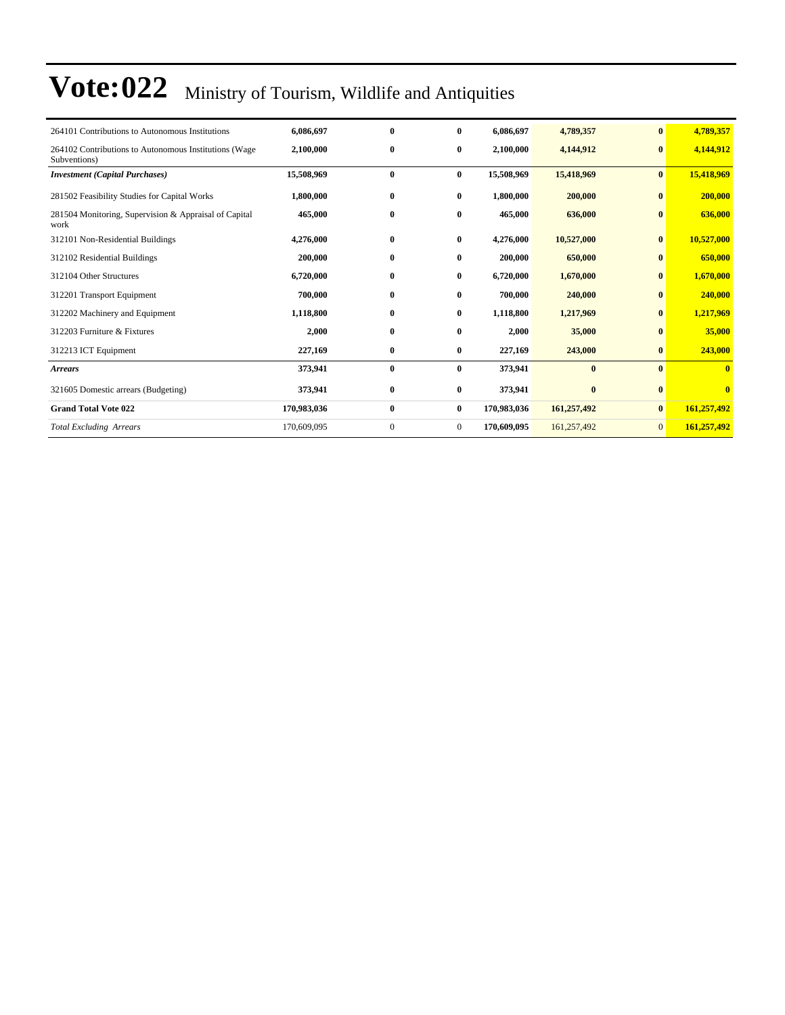| 264101 Contributions to Autonomous Institutions                       | 6,086,697   | $\mathbf{0}$ | $\mathbf{0}$   | 6,086,697   | 4,789,357   | $\bf{0}$       | 4,789,357   |
|-----------------------------------------------------------------------|-------------|--------------|----------------|-------------|-------------|----------------|-------------|
| 264102 Contributions to Autonomous Institutions (Wage<br>Subventions) | 2,100,000   | $\bf{0}$     | $\bf{0}$       | 2,100,000   | 4,144,912   | $\bf{0}$       | 4,144,912   |
| <b>Investment</b> (Capital Purchases)                                 | 15,508,969  | $\bf{0}$     | $\bf{0}$       | 15,508,969  | 15,418,969  | $\bf{0}$       | 15,418,969  |
| 281502 Feasibility Studies for Capital Works                          | 1,800,000   | $\bf{0}$     | $\bf{0}$       | 1,800,000   | 200,000     | $\bf{0}$       | 200,000     |
| 281504 Monitoring, Supervision & Appraisal of Capital<br>work         | 465,000     | $\bf{0}$     | $\bf{0}$       | 465,000     | 636,000     | $\bf{0}$       | 636,000     |
| 312101 Non-Residential Buildings                                      | 4,276,000   | $\bf{0}$     | $\bf{0}$       | 4,276,000   | 10,527,000  | $\bf{0}$       | 10,527,000  |
| 312102 Residential Buildings                                          | 200,000     | $\bf{0}$     | $\bf{0}$       | 200,000     | 650,000     | $\bf{0}$       | 650,000     |
| 312104 Other Structures                                               | 6,720,000   | $\bf{0}$     | $\bf{0}$       | 6,720,000   | 1,670,000   | $\bf{0}$       | 1,670,000   |
| 312201 Transport Equipment                                            | 700,000     | $\bf{0}$     | $\bf{0}$       | 700,000     | 240,000     | $\mathbf{0}$   | 240,000     |
| 312202 Machinery and Equipment                                        | 1,118,800   | $\bf{0}$     | $\bf{0}$       | 1,118,800   | 1,217,969   | $\bf{0}$       | 1,217,969   |
| 312203 Furniture & Fixtures                                           | 2,000       | $\bf{0}$     | $\bf{0}$       | 2,000       | 35,000      | $\bf{0}$       | 35,000      |
| 312213 ICT Equipment                                                  | 227,169     | $\bf{0}$     | $\bf{0}$       | 227,169     | 243,000     | $\bf{0}$       | 243,000     |
| <b>Arrears</b>                                                        | 373,941     | $\bf{0}$     | $\bf{0}$       | 373,941     | $\bf{0}$    | $\mathbf{0}$   | $\bf{0}$    |
| 321605 Domestic arrears (Budgeting)                                   | 373,941     | $\bf{0}$     | $\bf{0}$       | 373,941     | $\bf{0}$    | $\bf{0}$       | $\bf{0}$    |
| <b>Grand Total Vote 022</b>                                           | 170,983,036 | $\bf{0}$     | $\bf{0}$       | 170,983,036 | 161,257,492 | $\mathbf{0}$   | 161,257,492 |
| <b>Total Excluding Arrears</b>                                        | 170,609,095 | $\mathbf{0}$ | $\overline{0}$ | 170,609,095 | 161,257,492 | $\overline{0}$ | 161,257,492 |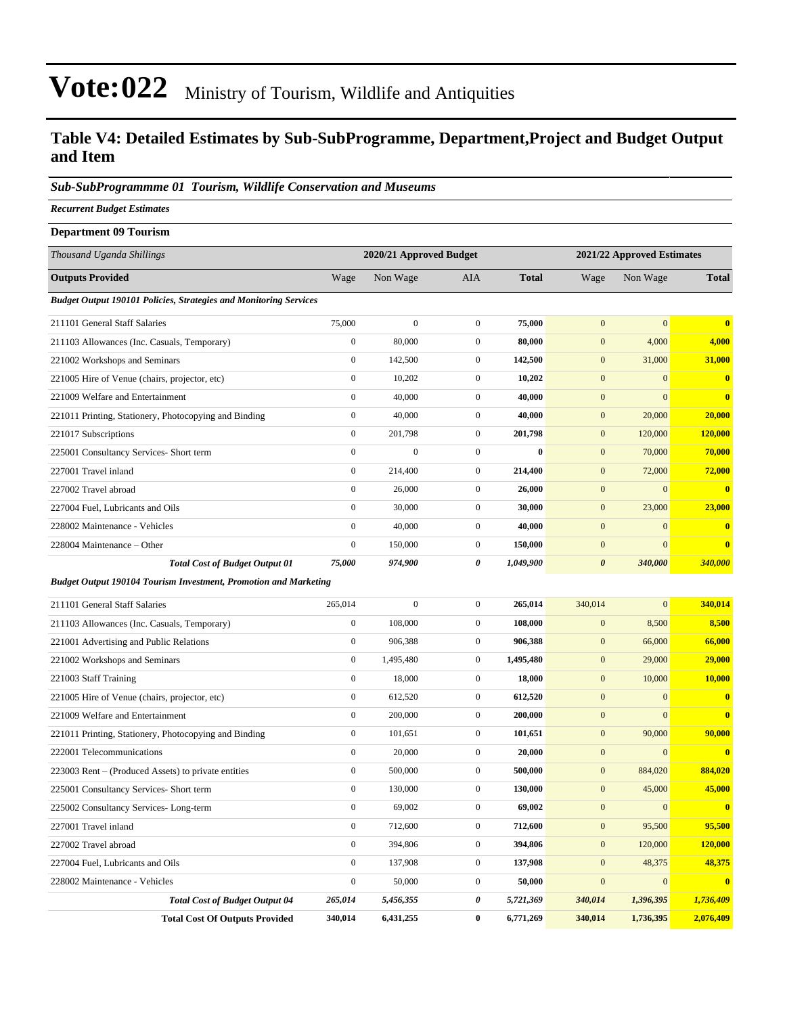### **Table V4: Detailed Estimates by Sub-SubProgramme, Department,Project and Budget Output and Item**

#### *Sub-SubProgrammme 01 Tourism, Wildlife Conservation and Museums*

*Recurrent Budget Estimates*

| <b>Department 09 Tourism</b>                                             |                  |                         |                  |              |                  |                            |                         |
|--------------------------------------------------------------------------|------------------|-------------------------|------------------|--------------|------------------|----------------------------|-------------------------|
| Thousand Uganda Shillings                                                |                  | 2020/21 Approved Budget |                  |              |                  | 2021/22 Approved Estimates |                         |
| <b>Outputs Provided</b>                                                  | Wage             | Non Wage                | <b>AIA</b>       | <b>Total</b> | Wage             | Non Wage                   | <b>Total</b>            |
| <b>Budget Output 190101 Policies, Strategies and Monitoring Services</b> |                  |                         |                  |              |                  |                            |                         |
| 211101 General Staff Salaries                                            | 75,000           | $\mathbf{0}$            | $\mathbf{0}$     | 75,000       | $\mathbf{0}$     | $\mathbf{0}$               | $\overline{\mathbf{0}}$ |
| 211103 Allowances (Inc. Casuals, Temporary)                              | $\boldsymbol{0}$ | 80,000                  | $\mathbf{0}$     | 80,000       | $\mathbf{0}$     | 4,000                      | 4,000                   |
| 221002 Workshops and Seminars                                            | $\boldsymbol{0}$ | 142,500                 | $\mathbf{0}$     | 142,500      | $\mathbf{0}$     | 31,000                     | 31,000                  |
| 221005 Hire of Venue (chairs, projector, etc)                            | $\boldsymbol{0}$ | 10,202                  | $\boldsymbol{0}$ | 10,202       | $\boldsymbol{0}$ | $\mathbf{0}$               | $\mathbf{0}$            |
| 221009 Welfare and Entertainment                                         | $\boldsymbol{0}$ | 40,000                  | $\mathbf{0}$     | 40,000       | $\mathbf{0}$     | $\mathbf{0}$               | $\bf{0}$                |
| 221011 Printing, Stationery, Photocopying and Binding                    | $\boldsymbol{0}$ | 40,000                  | $\mathbf{0}$     | 40,000       | $\boldsymbol{0}$ | 20,000                     | 20,000                  |
| 221017 Subscriptions                                                     | $\boldsymbol{0}$ | 201,798                 | $\mathbf{0}$     | 201,798      | $\mathbf{0}$     | 120,000                    | 120,000                 |
| 225001 Consultancy Services- Short term                                  | $\boldsymbol{0}$ | $\boldsymbol{0}$        | $\boldsymbol{0}$ | $\bf{0}$     | $\mathbf{0}$     | 70,000                     | 70,000                  |
| 227001 Travel inland                                                     | $\boldsymbol{0}$ | 214,400                 | $\boldsymbol{0}$ | 214,400      | $\boldsymbol{0}$ | 72,000                     | 72,000                  |
| 227002 Travel abroad                                                     | $\boldsymbol{0}$ | 26,000                  | $\mathbf{0}$     | 26,000       | $\boldsymbol{0}$ | $\mathbf{0}$               | $\bf{0}$                |
| 227004 Fuel, Lubricants and Oils                                         | $\boldsymbol{0}$ | 30,000                  | $\mathbf{0}$     | 30,000       | $\boldsymbol{0}$ | 23,000                     | 23,000                  |
| 228002 Maintenance - Vehicles                                            | $\boldsymbol{0}$ | 40,000                  | $\mathbf{0}$     | 40,000       | $\mathbf{0}$     | $\mathbf{0}$               | $\bf{0}$                |
| 228004 Maintenance – Other                                               | $\boldsymbol{0}$ | 150,000                 | $\mathbf{0}$     | 150,000      | $\mathbf{0}$     | $\mathbf{0}$               | $\bf{0}$                |
| <b>Total Cost of Budget Output 01</b>                                    | 75,000           | 974,900                 | 0                | 1,049,900    | $\pmb{\theta}$   | 340,000                    | 340,000                 |
| <b>Budget Output 190104 Tourism Investment, Promotion and Marketing</b>  |                  |                         |                  |              |                  |                            |                         |
| 211101 General Staff Salaries                                            | 265,014          | $\boldsymbol{0}$        | $\mathbf{0}$     | 265,014      | 340,014          | $\mathbf{0}$               | 340,014                 |
| 211103 Allowances (Inc. Casuals, Temporary)                              | $\boldsymbol{0}$ | 108,000                 | $\mathbf{0}$     | 108,000      | $\boldsymbol{0}$ | 8,500                      | 8,500                   |
| 221001 Advertising and Public Relations                                  | $\boldsymbol{0}$ | 906,388                 | $\mathbf{0}$     | 906,388      | $\mathbf{0}$     | 66,000                     | 66,000                  |
| 221002 Workshops and Seminars                                            | $\boldsymbol{0}$ | 1,495,480               | $\mathbf{0}$     | 1,495,480    | $\mathbf{0}$     | 29,000                     | 29,000                  |
| 221003 Staff Training                                                    | $\boldsymbol{0}$ | 18,000                  | $\mathbf{0}$     | 18,000       | $\boldsymbol{0}$ | 10,000                     | 10,000                  |
| 221005 Hire of Venue (chairs, projector, etc)                            | $\boldsymbol{0}$ | 612,520                 | $\mathbf{0}$     | 612,520      | $\mathbf{0}$     | $\mathbf{0}$               | $\bf{0}$                |
| 221009 Welfare and Entertainment                                         | $\boldsymbol{0}$ | 200,000                 | $\mathbf{0}$     | 200,000      | $\boldsymbol{0}$ | $\overline{0}$             | $\bf{0}$                |
| 221011 Printing, Stationery, Photocopying and Binding                    | $\boldsymbol{0}$ | 101,651                 | $\mathbf{0}$     | 101,651      | $\mathbf{0}$     | 90,000                     | 90,000                  |
| 222001 Telecommunications                                                | $\boldsymbol{0}$ | 20,000                  | $\mathbf{0}$     | 20,000       | $\mathbf{0}$     | $\mathbf{0}$               | $\bf{0}$                |
| 223003 Rent – (Produced Assets) to private entities                      | $\boldsymbol{0}$ | 500,000                 | $\mathbf{0}$     | 500,000      | $\boldsymbol{0}$ | 884,020                    | 884,020                 |
| 225001 Consultancy Services- Short term                                  | $\boldsymbol{0}$ | 130,000                 | $\boldsymbol{0}$ | 130,000      | $\mathbf{0}$     | 45,000                     | 45,000                  |
| 225002 Consultancy Services-Long-term                                    | $\boldsymbol{0}$ | 69,002                  | $\boldsymbol{0}$ | 69,002       | $\boldsymbol{0}$ | $\boldsymbol{0}$           | $\mathbf{0}$            |
| 227001 Travel inland                                                     | $\boldsymbol{0}$ | 712,600                 | $\boldsymbol{0}$ | 712,600      | $\boldsymbol{0}$ | 95,500                     | 95,500                  |
| 227002 Travel abroad                                                     | $\boldsymbol{0}$ | 394,806                 | $\boldsymbol{0}$ | 394,806      | $\boldsymbol{0}$ | 120,000                    | 120,000                 |
| 227004 Fuel, Lubricants and Oils                                         | $\boldsymbol{0}$ | 137,908                 | $\boldsymbol{0}$ | 137,908      | $\boldsymbol{0}$ | 48,375                     | 48,375                  |
| 228002 Maintenance - Vehicles                                            | $\boldsymbol{0}$ | 50,000                  | $\boldsymbol{0}$ | 50,000       | $\boldsymbol{0}$ | $\mathbf{0}$               | $\mathbf{0}$            |
| <b>Total Cost of Budget Output 04</b>                                    | 265,014          | 5,456,355               | 0                | 5,721,369    | 340,014          | 1,396,395                  | 1,736,409               |
| <b>Total Cost Of Outputs Provided</b>                                    | 340,014          | 6,431,255               | $\bf{0}$         | 6,771,269    | 340,014          | 1,736,395                  | 2,076,409               |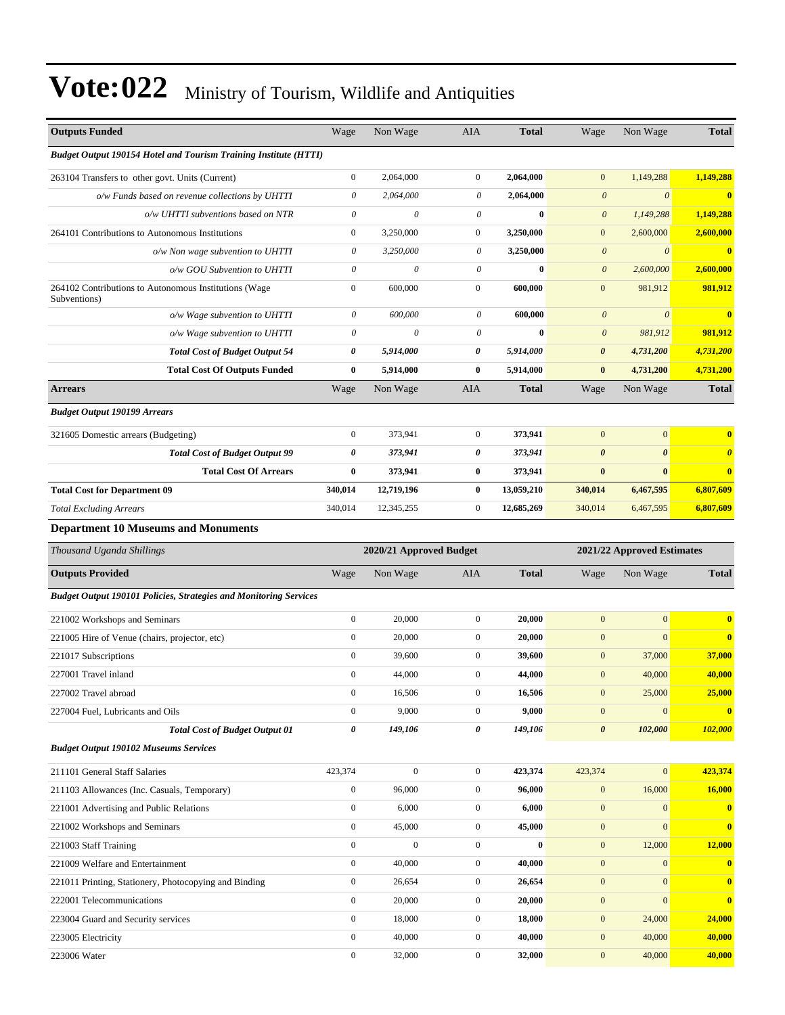| <b>Outputs Funded</b>                                                    | Wage                  | Non Wage                  | AIA                   | <b>Total</b> | Wage                  | Non Wage                   | <b>Total</b>          |
|--------------------------------------------------------------------------|-----------------------|---------------------------|-----------------------|--------------|-----------------------|----------------------------|-----------------------|
| <b>Budget Output 190154 Hotel and Tourism Training Institute (HTTI)</b>  |                       |                           |                       |              |                       |                            |                       |
| 263104 Transfers to other govt. Units (Current)                          | $\boldsymbol{0}$      | 2,064,000                 | $\boldsymbol{0}$      | 2,064,000    | $\mathbf{0}$          | 1,149,288                  | 1,149,288             |
| o/w Funds based on revenue collections by UHTTI                          | $\boldsymbol{\theta}$ | 2,064,000                 | 0                     | 2,064,000    | $\boldsymbol{\theta}$ | $\boldsymbol{\theta}$      | $\mathbf{0}$          |
| o/w UHTTI subventions based on NTR                                       | $\boldsymbol{\theta}$ | $\boldsymbol{\theta}$     | $\theta$              | $\bf{0}$     | $\boldsymbol{\theta}$ | 1,149,288                  | 1,149,288             |
| 264101 Contributions to Autonomous Institutions                          | $\boldsymbol{0}$      | 3,250,000                 | $\mathbf{0}$          | 3,250,000    | $\boldsymbol{0}$      | 2,600,000                  | 2,600,000             |
| o/w Non wage subvention to UHTTI                                         | $\theta$              | 3,250,000                 | 0                     | 3,250,000    | $\boldsymbol{\theta}$ | $\theta$                   | $\mathbf{0}$          |
| o/w GOU Subvention to UHTTI                                              | $\boldsymbol{\theta}$ | $\boldsymbol{\theta}$     | $\theta$              | $\bf{0}$     | $\boldsymbol{\theta}$ | 2,600,000                  | 2,600,000             |
| 264102 Contributions to Autonomous Institutions (Wage<br>Subventions)    | $\boldsymbol{0}$      | 600,000                   | $\boldsymbol{0}$      | 600,000      | $\boldsymbol{0}$      | 981,912                    | 981,912               |
| o/w Wage subvention to UHTTI                                             | $\boldsymbol{\theta}$ | 600,000                   | $\theta$              | 600,000      | $\boldsymbol{\theta}$ | $\boldsymbol{\theta}$      | $\mathbf{0}$          |
| o/w Wage subvention to UHTTI                                             | $\boldsymbol{\theta}$ | $\boldsymbol{\mathit{0}}$ | $\theta$              | $\bf{0}$     | $\boldsymbol{\theta}$ | 981,912                    | 981,912               |
| <b>Total Cost of Budget Output 54</b>                                    | 0                     | 5,914,000                 | 0                     | 5,914,000    | $\pmb{\theta}$        | 4,731,200                  | 4,731,200             |
| <b>Total Cost Of Outputs Funded</b>                                      | $\bf{0}$              | 5,914,000                 | $\bf{0}$              | 5,914,000    | $\bf{0}$              | 4,731,200                  | 4,731,200             |
| <b>Arrears</b>                                                           | Wage                  | Non Wage                  | AIA                   | <b>Total</b> | Wage                  | Non Wage                   | <b>Total</b>          |
| <b>Budget Output 190199 Arrears</b>                                      |                       |                           |                       |              |                       |                            |                       |
| 321605 Domestic arrears (Budgeting)                                      | $\boldsymbol{0}$      | 373,941                   | $\mathbf{0}$          | 373,941      | $\mathbf{0}$          | $\mathbf{0}$               | $\mathbf{0}$          |
| <b>Total Cost of Budget Output 99</b>                                    | 0                     | 373,941                   | 0                     | 373,941      | $\boldsymbol{\theta}$ | $\boldsymbol{\theta}$      | $\boldsymbol{\theta}$ |
| <b>Total Cost Of Arrears</b>                                             | $\bf{0}$              | 373,941                   | $\bf{0}$              | 373,941      | $\pmb{0}$             | $\bf{0}$                   | $\bf{0}$              |
| <b>Total Cost for Department 09</b>                                      | 340,014               | 12,719,196                | $\bf{0}$              | 13,059,210   | 340,014               | 6,467,595                  | 6,807,609             |
| <b>Total Excluding Arrears</b>                                           | 340,014               | 12,345,255                | $\mathbf{0}$          | 12,685,269   | 340,014               | 6,467,595                  | 6,807,609             |
| <b>Department 10 Museums and Monuments</b>                               |                       |                           |                       |              |                       |                            |                       |
|                                                                          |                       |                           |                       |              |                       |                            |                       |
| Thousand Uganda Shillings                                                |                       | 2020/21 Approved Budget   |                       |              |                       | 2021/22 Approved Estimates |                       |
| <b>Outputs Provided</b>                                                  | Wage                  | Non Wage                  | AIA                   | <b>Total</b> | Wage                  | Non Wage                   | <b>Total</b>          |
| <b>Budget Output 190101 Policies, Strategies and Monitoring Services</b> |                       |                           |                       |              |                       |                            |                       |
| 221002 Workshops and Seminars                                            | $\boldsymbol{0}$      | 20,000                    | $\mathbf{0}$          | 20,000       | $\mathbf{0}$          | $\mathbf{0}$               | $\mathbf{0}$          |
| 221005 Hire of Venue (chairs, projector, etc)                            | $\boldsymbol{0}$      | 20,000                    | $\boldsymbol{0}$      | 20,000       | $\mathbf{0}$          | $\mathbf{0}$               | $\bf{0}$              |
| 221017 Subscriptions                                                     | $\boldsymbol{0}$      | 39,600                    | $\mathbf{0}$          | 39,600       | $\mathbf{0}$          | 37,000                     | 37,000                |
| 227001 Travel inland                                                     | $\boldsymbol{0}$      | 44,000                    | $\boldsymbol{0}$      | 44,000       | $\mathbf{0}$          | 40,000                     | 40,000                |
| 227002 Travel abroad                                                     | $\boldsymbol{0}$      | 16,506                    | $\overline{0}$        | 16,506       | $\mathbf{0}$          | 25,000                     | 25,000                |
| 227004 Fuel, Lubricants and Oils                                         | $\boldsymbol{0}$      | 9,000                     | $\mathbf{0}$          | 9,000        | $\boldsymbol{0}$      | $\boldsymbol{0}$           | $\mathbf{0}$          |
| <b>Total Cost of Budget Output 01</b>                                    | $\boldsymbol{\theta}$ | 149,106                   | $\boldsymbol{\theta}$ | 149,106      | $\boldsymbol{\theta}$ | 102,000                    | 102,000               |
| <b>Budget Output 190102 Museums Services</b>                             |                       |                           |                       |              |                       |                            |                       |
| 211101 General Staff Salaries                                            | 423,374               | $\boldsymbol{0}$          | $\boldsymbol{0}$      | 423,374      | 423,374               | $\boldsymbol{0}$           | 423,374               |
| 211103 Allowances (Inc. Casuals, Temporary)                              | $\boldsymbol{0}$      | 96,000                    | $\boldsymbol{0}$      | 96,000       | $\mathbf{0}$          | 16,000                     | 16,000                |
| 221001 Advertising and Public Relations                                  | $\boldsymbol{0}$      | 6,000                     | $\boldsymbol{0}$      | 6,000        | $\boldsymbol{0}$      | $\boldsymbol{0}$           | $\mathbf{0}$          |
| 221002 Workshops and Seminars                                            | $\boldsymbol{0}$      | 45,000                    | $\mathbf{0}$          | 45,000       | $\boldsymbol{0}$      | $\mathbf{0}$               | $\bf{0}$              |
| 221003 Staff Training                                                    | $\boldsymbol{0}$      | $\boldsymbol{0}$          | $\boldsymbol{0}$      | $\bf{0}$     | $\mathbf{0}$          | 12,000                     | 12,000                |
| 221009 Welfare and Entertainment                                         | $\boldsymbol{0}$      | 40,000                    | $\boldsymbol{0}$      | 40,000       | $\boldsymbol{0}$      | $\boldsymbol{0}$           | $\bf{0}$              |
| 221011 Printing, Stationery, Photocopying and Binding                    | $\boldsymbol{0}$      | 26,654                    | $\boldsymbol{0}$      | 26,654       | $\boldsymbol{0}$      | $\mathbf{0}$               | $\bf{0}$              |
| 222001 Telecommunications                                                | $\boldsymbol{0}$      | 20,000                    | $\boldsymbol{0}$      | 20,000       | $\boldsymbol{0}$      | $\boldsymbol{0}$           | $\bf{0}$              |
| 223004 Guard and Security services                                       | $\boldsymbol{0}$      | 18,000                    | $\mathbf{0}$          | 18,000       | $\boldsymbol{0}$      | 24,000                     | 24,000                |
| 223005 Electricity                                                       | $\boldsymbol{0}$      | 40,000                    | $\boldsymbol{0}$      | 40,000       | $\mathbf{0}$          | 40,000                     | 40,000                |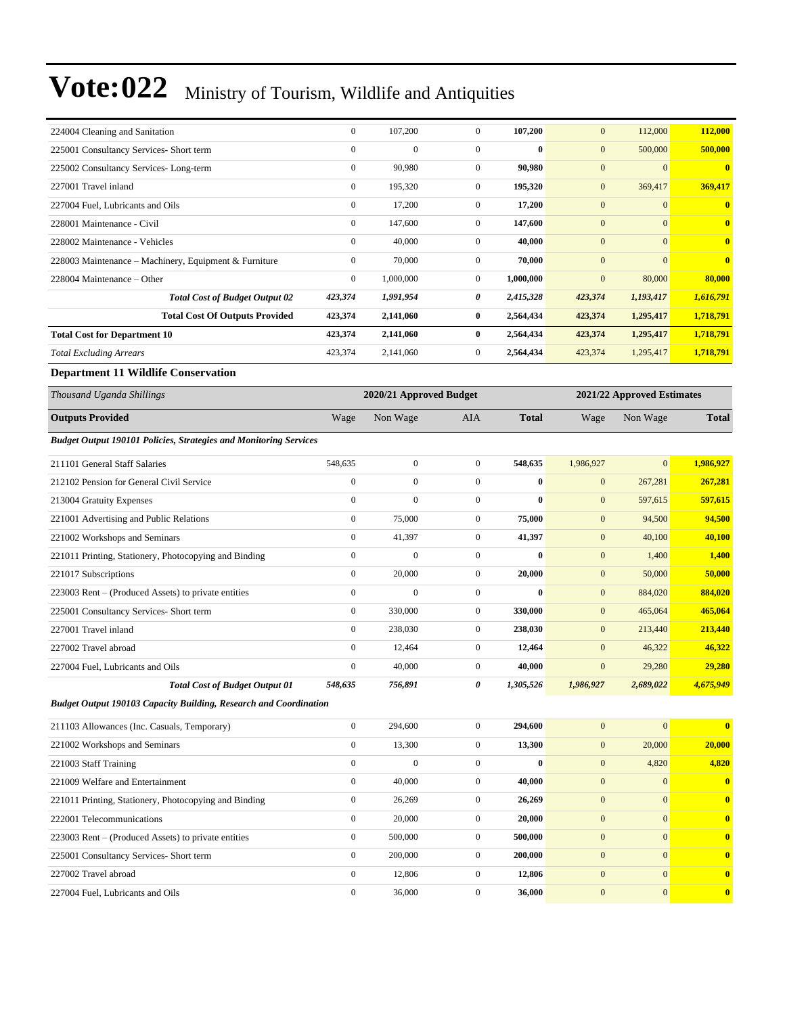| 224004 Cleaning and Sanitation                                           | $\boldsymbol{0}$ | 107,200                 | $\boldsymbol{0}$ | 107,200      | $\bf{0}$         | 112,000                    | 112,000      |
|--------------------------------------------------------------------------|------------------|-------------------------|------------------|--------------|------------------|----------------------------|--------------|
| 225001 Consultancy Services- Short term                                  | $\boldsymbol{0}$ | $\boldsymbol{0}$        | $\boldsymbol{0}$ | $\bf{0}$     | $\mathbf{0}$     | 500,000                    | 500,000      |
| 225002 Consultancy Services-Long-term                                    | $\boldsymbol{0}$ | 90,980                  | $\mathbf{0}$     | 90,980       | $\mathbf{0}$     | $\mathbf{0}$               | $\bf{0}$     |
| 227001 Travel inland                                                     | $\boldsymbol{0}$ | 195,320                 | $\mathbf{0}$     | 195,320      | $\mathbf{0}$     | 369,417                    | 369,417      |
| 227004 Fuel, Lubricants and Oils                                         | $\boldsymbol{0}$ | 17,200                  | $\mathbf{0}$     | 17,200       | $\mathbf{0}$     | $\mathbf{0}$               | $\bf{0}$     |
| 228001 Maintenance - Civil                                               | $\boldsymbol{0}$ | 147,600                 | $\mathbf{0}$     | 147,600      | $\mathbf{0}$     | $\mathbf{0}$               | $\bf{0}$     |
| 228002 Maintenance - Vehicles                                            | $\mathbf{0}$     | 40,000                  | $\boldsymbol{0}$ | 40,000       | $\mathbf{0}$     | $\mathbf{0}$               | $\bf{0}$     |
| 228003 Maintenance - Machinery, Equipment & Furniture                    | $\boldsymbol{0}$ | 70,000                  | $\mathbf{0}$     | 70,000       | $\mathbf{0}$     | $\overline{0}$             | $\bf{0}$     |
| 228004 Maintenance – Other                                               | $\boldsymbol{0}$ | 1,000,000               | $\mathbf{0}$     | 1,000,000    | $\mathbf{0}$     | 80,000                     | 80,000       |
| <b>Total Cost of Budget Output 02</b>                                    | 423,374          | 1,991,954               | 0                | 2,415,328    | 423,374          | 1,193,417                  | 1,616,791    |
| <b>Total Cost Of Outputs Provided</b>                                    | 423,374          | 2,141,060               | $\bf{0}$         | 2,564,434    | 423,374          | 1,295,417                  | 1,718,791    |
| <b>Total Cost for Department 10</b>                                      | 423,374          | 2,141,060               | $\bf{0}$         | 2,564,434    | 423,374          | 1,295,417                  | 1,718,791    |
| <b>Total Excluding Arrears</b>                                           | 423,374          | 2,141,060               | $\mathbf{0}$     | 2,564,434    | 423,374          | 1,295,417                  | 1,718,791    |
| <b>Department 11 Wildlife Conservation</b>                               |                  |                         |                  |              |                  |                            |              |
| Thousand Uganda Shillings                                                |                  | 2020/21 Approved Budget |                  |              |                  | 2021/22 Approved Estimates |              |
| <b>Outputs Provided</b>                                                  | Wage             | Non Wage                | <b>AIA</b>       | <b>Total</b> | Wage             | Non Wage                   | <b>Total</b> |
| <b>Budget Output 190101 Policies, Strategies and Monitoring Services</b> |                  |                         |                  |              |                  |                            |              |
| 211101 General Staff Salaries                                            | 548,635          | $\boldsymbol{0}$        | $\mathbf{0}$     | 548,635      | 1,986,927        | $\mathbf{0}$               | 1,986,927    |
| 212102 Pension for General Civil Service                                 | $\boldsymbol{0}$ | $\boldsymbol{0}$        | $\boldsymbol{0}$ | $\bf{0}$     | $\mathbf{0}$     | 267,281                    | 267,281      |
| 213004 Gratuity Expenses                                                 | $\boldsymbol{0}$ | $\boldsymbol{0}$        | $\mathbf{0}$     | $\bf{0}$     | $\mathbf{0}$     | 597,615                    | 597,615      |
| 221001 Advertising and Public Relations                                  | $\boldsymbol{0}$ | 75,000                  | $\boldsymbol{0}$ | 75,000       | $\mathbf{0}$     | 94,500                     | 94,500       |
| 221002 Workshops and Seminars                                            | $\boldsymbol{0}$ | 41,397                  | $\mathbf{0}$     | 41,397       | $\mathbf{0}$     | 40,100                     | 40,100       |
| 221011 Printing, Stationery, Photocopying and Binding                    | $\boldsymbol{0}$ | $\mathbf{0}$            | $\boldsymbol{0}$ | $\bf{0}$     | $\mathbf{0}$     | 1,400                      | 1,400        |
| 221017 Subscriptions                                                     | $\boldsymbol{0}$ | 20,000                  | $\mathbf{0}$     | 20,000       | $\mathbf{0}$     | 50,000                     | 50,000       |
| 223003 Rent – (Produced Assets) to private entities                      | $\boldsymbol{0}$ | $\mathbf{0}$            | $\mathbf{0}$     | $\bf{0}$     | $\mathbf{0}$     | 884,020                    | 884,020      |
| 225001 Consultancy Services- Short term                                  | $\boldsymbol{0}$ | 330,000                 | $\boldsymbol{0}$ | 330,000      | $\mathbf{0}$     | 465,064                    | 465,064      |
| 227001 Travel inland                                                     | $\boldsymbol{0}$ | 238,030                 | $\mathbf{0}$     | 238,030      | $\mathbf{0}$     | 213,440                    | 213,440      |
| 227002 Travel abroad                                                     | $\boldsymbol{0}$ | 12,464                  | $\mathbf{0}$     | 12,464       | $\mathbf{0}$     | 46,322                     | 46,322       |
| 227004 Fuel, Lubricants and Oils                                         | $\boldsymbol{0}$ | 40,000                  | $\mathbf{0}$     | 40,000       | $\boldsymbol{0}$ | 29,280                     | 29,280       |
| <b>Total Cost of Budget Output 01</b>                                    | 548,635          | 756,891                 | 0                | 1,305,526    | 1,986,927        | 2,689,022                  | 4,675,949    |
| <b>Budget Output 190103 Capacity Building, Research and Coordination</b> |                  |                         |                  |              |                  |                            |              |
| 211103 Allowances (Inc. Casuals, Temporary)                              | $\boldsymbol{0}$ | 294,600                 | $\boldsymbol{0}$ | 294,600      | $\mathbf{0}$     | $\mathbf{0}$               | $\bf{0}$     |
| 221002 Workshops and Seminars                                            | $\boldsymbol{0}$ | 13,300                  | $\boldsymbol{0}$ | 13,300       | $\mathbf{0}$     | 20,000                     | 20,000       |
| 221003 Staff Training                                                    | $\boldsymbol{0}$ | $\boldsymbol{0}$        | $\boldsymbol{0}$ | $\bf{0}$     | $\mathbf{0}$     | 4,820                      | 4,820        |
| 221009 Welfare and Entertainment                                         | $\boldsymbol{0}$ | 40,000                  | $\boldsymbol{0}$ | 40,000       | $\boldsymbol{0}$ | $\mathbf{0}$               | $\bf{0}$     |
| 221011 Printing, Stationery, Photocopying and Binding                    | $\boldsymbol{0}$ | 26,269                  | $\boldsymbol{0}$ | 26,269       | $\mathbf{0}$     | $\mathbf{0}$               | $\bf{0}$     |
| 222001 Telecommunications                                                | $\boldsymbol{0}$ | 20,000                  | $\boldsymbol{0}$ | 20,000       | $\boldsymbol{0}$ | $\boldsymbol{0}$           | $\bf{0}$     |
| 223003 Rent - (Produced Assets) to private entities                      | $\boldsymbol{0}$ | 500,000                 | $\boldsymbol{0}$ | 500,000      | $\mathbf{0}$     | $\mathbf{0}$               | $\bf{0}$     |
| 225001 Consultancy Services- Short term                                  | $\boldsymbol{0}$ | 200,000                 | $\boldsymbol{0}$ | 200,000      | $\mathbf{0}$     | $\mathbf{0}$               | $\bf{0}$     |
| 227002 Travel abroad                                                     | $\boldsymbol{0}$ | 12,806                  | $\boldsymbol{0}$ | 12,806       | $\mathbf{0}$     | $\mathbf{0}$               | $\bf{0}$     |
| 227004 Fuel, Lubricants and Oils                                         | $\boldsymbol{0}$ | 36,000                  | $\boldsymbol{0}$ | 36,000       | $\mathbf{0}$     | $\mathbf{0}$               | $\mathbf{0}$ |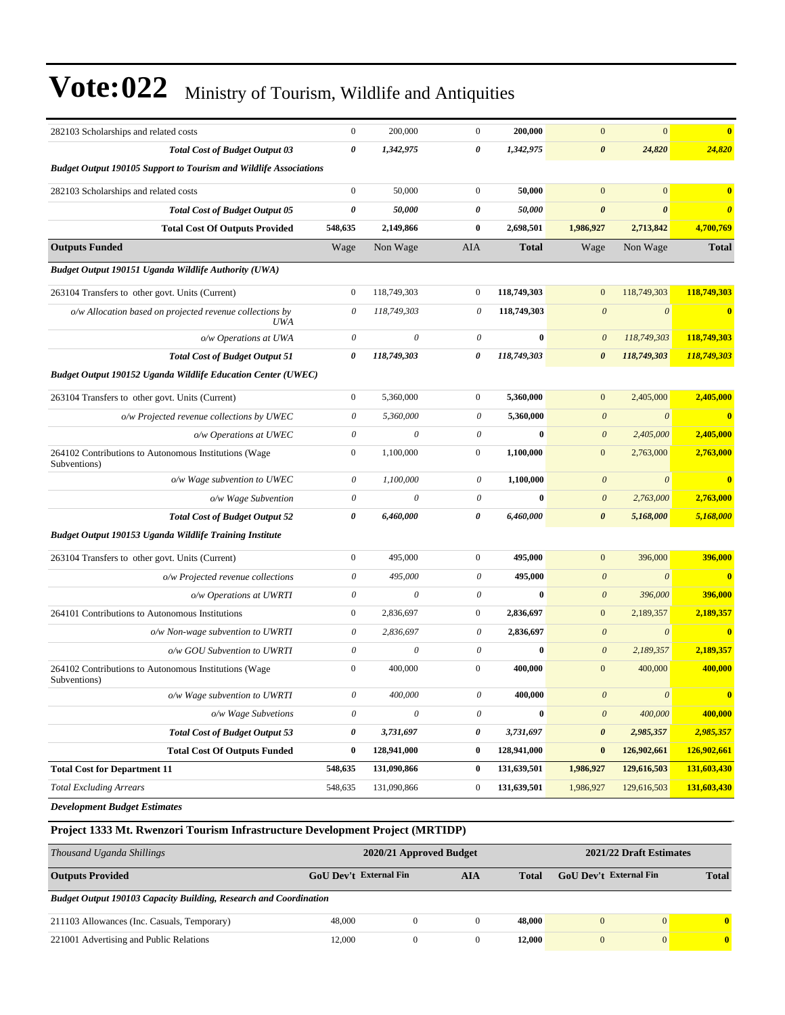| 282103 Scholarships and related costs                                    | $\boldsymbol{0}$          | 200,000                   | $\mathbf{0}$              | 200,000      | $\mathbf{0}$              | $\mathbf{0}$          | $\overline{\mathbf{0}}$ |
|--------------------------------------------------------------------------|---------------------------|---------------------------|---------------------------|--------------|---------------------------|-----------------------|-------------------------|
| <b>Total Cost of Budget Output 03</b>                                    | $\boldsymbol{\theta}$     | 1,342,975                 | 0                         | 1,342,975    | $\boldsymbol{\theta}$     | 24,820                | 24,820                  |
| <b>Budget Output 190105 Support to Tourism and Wildlife Associations</b> |                           |                           |                           |              |                           |                       |                         |
| 282103 Scholarships and related costs                                    | $\theta$                  | 50,000                    | $\mathbf{0}$              | 50,000       | $\mathbf{0}$              | $\mathbf{0}$          | $\bf{0}$                |
| <b>Total Cost of Budget Output 05</b>                                    | $\boldsymbol{\theta}$     | 50,000                    | 0                         | 50,000       | $\boldsymbol{\theta}$     | $\boldsymbol{\theta}$ | $\boldsymbol{\theta}$   |
| <b>Total Cost Of Outputs Provided</b>                                    | 548,635                   | 2,149,866                 | $\bf{0}$                  | 2,698,501    | 1,986,927                 | 2,713,842             | 4,700,769               |
| <b>Outputs Funded</b>                                                    | Wage                      | Non Wage                  | AIA                       | <b>Total</b> | Wage                      | Non Wage              | <b>Total</b>            |
| Budget Output 190151 Uganda Wildlife Authority (UWA)                     |                           |                           |                           |              |                           |                       |                         |
| 263104 Transfers to other govt. Units (Current)                          | $\mathbf{0}$              | 118,749,303               | $\mathbf{0}$              | 118,749,303  | $\mathbf{0}$              | 118,749,303           | 118,749,303             |
| o/w Allocation based on projected revenue collections by<br><b>UWA</b>   | $\theta$                  | 118,749,303               | $\theta$                  | 118,749,303  | $\boldsymbol{\theta}$     | $\boldsymbol{\theta}$ | $\overline{\mathbf{0}}$ |
| o/w Operations at UWA                                                    | $\theta$                  | $\theta$                  | $\boldsymbol{\theta}$     | $\bf{0}$     | $\theta$                  | 118,749,303           | 118,749,303             |
| <b>Total Cost of Budget Output 51</b>                                    | $\boldsymbol{\theta}$     | 118,749,303               | 0                         | 118,749,303  | $\boldsymbol{\theta}$     | 118,749,303           | 118,749,303             |
| <b>Budget Output 190152 Uganda Wildlife Education Center (UWEC)</b>      |                           |                           |                           |              |                           |                       |                         |
| 263104 Transfers to other govt. Units (Current)                          | $\mathbf{0}$              | 5.360,000                 | $\overline{0}$            | 5,360,000    | $\mathbf{0}$              | 2,405,000             | 2,405,000               |
| o/w Projected revenue collections by UWEC                                | $\theta$                  | 5,360,000                 | $\boldsymbol{\theta}$     | 5,360,000    | $\boldsymbol{\theta}$     | $\boldsymbol{\theta}$ | $\overline{\mathbf{0}}$ |
| o/w Operations at UWEC                                                   | $\boldsymbol{\theta}$     | $\theta$                  | $\boldsymbol{\theta}$     | $\bf{0}$     | $\boldsymbol{\theta}$     | 2,405,000             | 2,405,000               |
| 264102 Contributions to Autonomous Institutions (Wage<br>Subventions)    | $\mathbf{0}$              | 1,100,000                 | $\mathbf{0}$              | 1,100,000    | $\mathbf{0}$              | 2,763,000             | 2,763,000               |
| o/w Wage subvention to UWEC                                              | $\theta$                  | 1,100,000                 | $\boldsymbol{\mathit{0}}$ | 1,100,000    | $\boldsymbol{\theta}$     | $\boldsymbol{\theta}$ | $\overline{\mathbf{0}}$ |
| o/w Wage Subvention                                                      | $\boldsymbol{\theta}$     | $\theta$                  | $\boldsymbol{\mathit{0}}$ | $\bf{0}$     | $\boldsymbol{\theta}$     | 2,763,000             | 2,763,000               |
| <b>Total Cost of Budget Output 52</b>                                    | 0                         | 6,460,000                 | 0                         | 6,460,000    | $\boldsymbol{\theta}$     | 5,168,000             | 5,168,000               |
| Budget Output 190153 Uganda Wildlife Training Institute                  |                           |                           |                           |              |                           |                       |                         |
| 263104 Transfers to other govt. Units (Current)                          | $\mathbf{0}$              | 495,000                   | $\mathbf{0}$              | 495,000      | $\mathbf{0}$              | 396,000               | 396,000                 |
| o/w Projected revenue collections                                        | $\boldsymbol{\mathit{0}}$ | 495,000                   | $\boldsymbol{\mathit{0}}$ | 495,000      | $\boldsymbol{\theta}$     | $\theta$              | $\mathbf{0}$            |
| o/w Operations at UWRTI                                                  | $\boldsymbol{\mathit{0}}$ | $\boldsymbol{\mathit{0}}$ | $\boldsymbol{\mathit{0}}$ | $\bf{0}$     | $\boldsymbol{\theta}$     | 396,000               | 396,000                 |
| 264101 Contributions to Autonomous Institutions                          | $\mathbf{0}$              | 2,836,697                 | $\overline{0}$            | 2,836,697    | $\boldsymbol{0}$          | 2,189,357             | 2,189,357               |
| o/w Non-wage subvention to UWRTI                                         | 0                         | 2,836,697                 | $\boldsymbol{\theta}$     | 2,836,697    | $\boldsymbol{\theta}$     | $\boldsymbol{\theta}$ | $\overline{\mathbf{0}}$ |
| o/w GOU Subvention to UWRTI                                              | $\theta$                  | $\theta$                  | $\boldsymbol{\theta}$     | $\bf{0}$     | $\boldsymbol{\theta}$     | 2,189,357             | 2,189,357               |
| 264102 Contributions to Autonomous Institutions (Wage<br>Subventions)    | $\mathbf{0}$              | 400,000                   | $\boldsymbol{0}$          | 400,000      | $\mathbf{0}$              | 400,000               | 400,000                 |
| o/w Wage subvention to UWRTI                                             | 0                         | 400,000                   | $\boldsymbol{\mathit{0}}$ | 400,000      | $\boldsymbol{\theta}$     | $\boldsymbol{\theta}$ | $\bf{0}$                |
| o/w Wage Subvetions                                                      | $\theta$                  | $\boldsymbol{\theta}$     | $\boldsymbol{\mathit{0}}$ | $\bf{0}$     | $\boldsymbol{\mathit{0}}$ | 400,000               | 400,000                 |
| <b>Total Cost of Budget Output 53</b>                                    | $\boldsymbol{\theta}$     | 3,731,697                 | 0                         | 3,731,697    | $\pmb{\theta}$            | 2,985,357             | 2,985,357               |
| <b>Total Cost Of Outputs Funded</b>                                      | $\bf{0}$                  | 128,941,000               | $\bf{0}$                  | 128,941,000  | $\bf{0}$                  | 126,902,661           | 126,902,661             |
| <b>Total Cost for Department 11</b>                                      | 548,635                   | 131,090,866               | $\bf{0}$                  | 131,639,501  | 1,986,927                 | 129,616,503           | 131,603,430             |
| <b>Total Excluding Arrears</b>                                           | 548,635                   | 131,090,866               | $\boldsymbol{0}$          | 131,639,501  | 1,986,927                 | 129,616,503           | 131,603,430             |
| <b>Development Budget Estimates</b>                                      |                           |                           |                           |              |                           |                       |                         |

#### **Project 1333 Mt. Rwenzori Tourism Infrastructure Development Project (MRTIDP)**

| Thousand Uganda Shillings                                                |                        | 2020/21 Approved Budget |     |        |                               |                | 2021/22 Draft Estimates |  |  |
|--------------------------------------------------------------------------|------------------------|-------------------------|-----|--------|-------------------------------|----------------|-------------------------|--|--|
| <b>Outputs Provided</b>                                                  | GoU Dev't External Fin |                         | AIA | Total  | <b>GoU</b> Dev't External Fin |                | <b>Total</b>            |  |  |
| <b>Budget Output 190103 Capacity Building, Research and Coordination</b> |                        |                         |     |        |                               |                |                         |  |  |
| 211103 Allowances (Inc. Casuals, Temporary)                              | 48,000                 | 0                       |     | 48,000 | $\left($                      | $\overline{0}$ |                         |  |  |
| 221001 Advertising and Public Relations                                  | 12.000                 | $\Omega$                |     | 12.000 | $\Omega$                      | $\overline{0}$ |                         |  |  |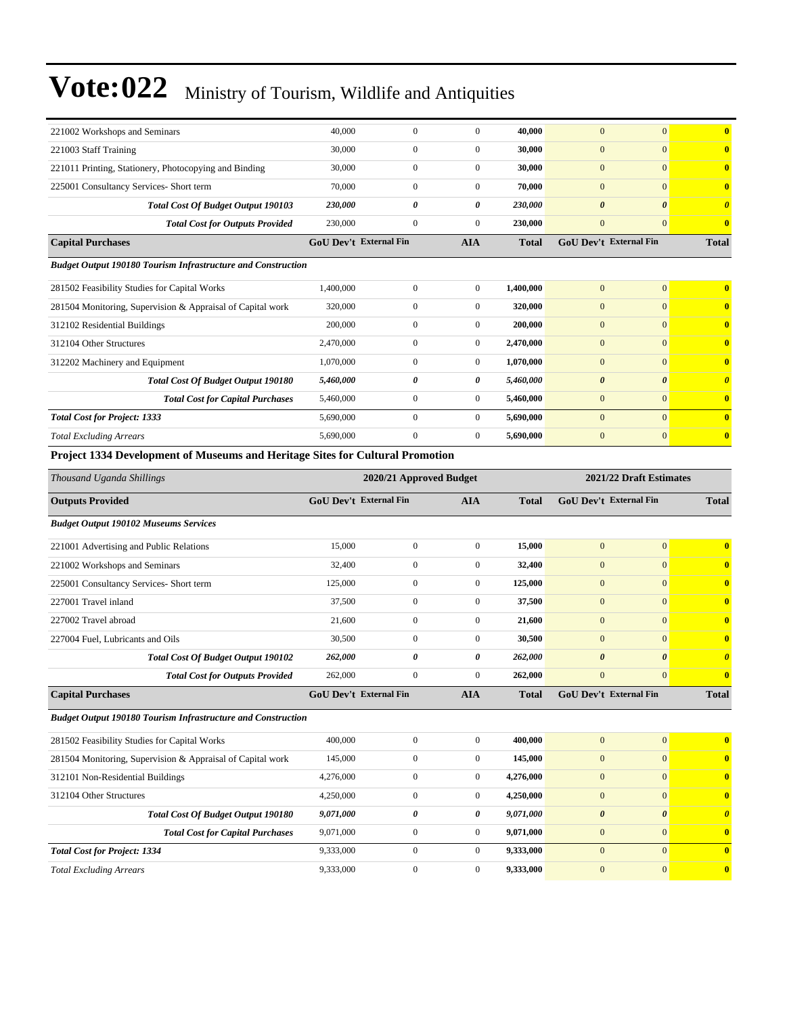| 221002 Workshops and Seminars                                                 | 40,000                        | $\boldsymbol{0}$      | $\overline{0}$ | 40.000       | $\mathbf{0}$                  | $\overline{0}$        | $\bf{0}$              |
|-------------------------------------------------------------------------------|-------------------------------|-----------------------|----------------|--------------|-------------------------------|-----------------------|-----------------------|
| 221003 Staff Training                                                         | 30,000                        | $\overline{0}$        | $\overline{0}$ | 30,000       | $\mathbf{0}$                  | $\mathbf{0}$          | $\bf{0}$              |
| 221011 Printing, Stationery, Photocopying and Binding                         | 30,000                        | $\boldsymbol{0}$      | $\overline{0}$ | 30,000       | $\mathbf{0}$                  | $\mathbf{0}$          | $\bf{0}$              |
| 225001 Consultancy Services- Short term                                       | 70,000                        | $\mathbf{0}$          | $\overline{0}$ | 70,000       | $\mathbf{0}$                  | $\Omega$              | $\mathbf{0}$          |
| <b>Total Cost Of Budget Output 190103</b>                                     | 230,000                       | 0                     | 0              | 230,000      | $\boldsymbol{\theta}$         | $\boldsymbol{\theta}$ | $\boldsymbol{\theta}$ |
| <b>Total Cost for Outputs Provided</b>                                        | 230,000                       | $\overline{0}$        | $\overline{0}$ | 230,000      | $\mathbf{0}$                  | $\mathbf{0}$          | $\bf{0}$              |
| <b>Capital Purchases</b>                                                      | <b>GoU</b> Dev't External Fin |                       | <b>AIA</b>     | <b>Total</b> | <b>GoU</b> Dev't External Fin |                       | <b>Total</b>          |
| <b>Budget Output 190180 Tourism Infrastructure and Construction</b>           |                               |                       |                |              |                               |                       |                       |
| 281502 Feasibility Studies for Capital Works                                  | 1,400,000                     | $\overline{0}$        | $\theta$       | 1,400,000    | $\overline{0}$                | $\overline{0}$        | $\mathbf{0}$          |
| 281504 Monitoring, Supervision & Appraisal of Capital work                    | 320,000                       | $\overline{0}$        | $\theta$       | 320,000      | $\overline{0}$                | $\mathbf{0}$          | $\bf{0}$              |
| 312102 Residential Buildings                                                  | 200,000                       | $\overline{0}$        | $\theta$       | 200,000      | $\mathbf{0}$                  | $\Omega$              | $\mathbf{0}$          |
| 312104 Other Structures                                                       | 2,470,000                     | $\overline{0}$        | $\mathbf{0}$   | 2,470,000    | $\overline{0}$                | $\overline{0}$        | $\bf{0}$              |
| 312202 Machinery and Equipment                                                | 1,070,000                     | $\overline{0}$        | $\Omega$       | 1,070,000    | $\overline{0}$                | $\overline{0}$        | $\mathbf{0}$          |
| <b>Total Cost Of Budget Output 190180</b>                                     | 5,460,000                     | $\boldsymbol{\theta}$ | 0              | 5,460,000    | $\boldsymbol{\theta}$         | $\boldsymbol{\theta}$ | $\boldsymbol{\theta}$ |
| <b>Total Cost for Capital Purchases</b>                                       | 5,460,000                     | $\boldsymbol{0}$      | $\Omega$       | 5,460,000    | $\overline{0}$                | $\Omega$              | $\mathbf{0}$          |
| <b>Total Cost for Project: 1333</b>                                           | 5,690,000                     | $\overline{0}$        | $\Omega$       | 5,690,000    | $\Omega$                      | $\Omega$              | $\mathbf{0}$          |
| <b>Total Excluding Arrears</b>                                                | 5,690,000                     | $\boldsymbol{0}$      | $\overline{0}$ | 5,690,000    | $\mathbf{0}$                  | $\mathbf{0}$          | $\bf{0}$              |
| Project 1334 Development of Museums and Heritage Sites for Cultural Promotion |                               |                       |                |              |                               |                       |                       |

| Thousand Uganda Shillings                                           | 2020/21 Approved Budget       | 2021/22 Draft Estimates |                  |              |                               |                       |                         |
|---------------------------------------------------------------------|-------------------------------|-------------------------|------------------|--------------|-------------------------------|-----------------------|-------------------------|
| <b>Outputs Provided</b>                                             | <b>GoU Dev't External Fin</b> |                         | <b>AIA</b>       | <b>Total</b> | <b>GoU Dev't External Fin</b> |                       | <b>Total</b>            |
| <b>Budget Output 190102 Museums Services</b>                        |                               |                         |                  |              |                               |                       |                         |
| 221001 Advertising and Public Relations                             | 15,000                        | $\boldsymbol{0}$        | $\mathbf{0}$     | 15,000       | $\overline{0}$                | $\mathbf{0}$          | $\mathbf{0}$            |
| 221002 Workshops and Seminars                                       | 32,400                        | $\boldsymbol{0}$        | $\overline{0}$   | 32,400       | $\boldsymbol{0}$              | $\overline{0}$        | $\mathbf{0}$            |
| 225001 Consultancy Services- Short term                             | 125,000                       | $\mathbf{0}$            | $\overline{0}$   | 125,000      | $\boldsymbol{0}$              | $\overline{0}$        | $\mathbf{0}$            |
| 227001 Travel inland                                                | 37,500                        | $\overline{0}$          | $\mathbf{0}$     | 37,500       | $\mathbf{0}$                  | $\overline{0}$        | $\mathbf{0}$            |
| 227002 Travel abroad                                                | 21,600                        | $\overline{0}$          | $\overline{0}$   | 21,600       | $\overline{0}$                | $\overline{0}$        | $\mathbf{0}$            |
| 227004 Fuel, Lubricants and Oils                                    | 30,500                        | $\mathbf{0}$            | $\boldsymbol{0}$ | 30,500       | $\boldsymbol{0}$              | $\overline{0}$        | $\mathbf{0}$            |
| <b>Total Cost Of Budget Output 190102</b>                           | 262,000                       | $\theta$                | 0                | 262,000      | $\boldsymbol{\theta}$         | $\boldsymbol{\theta}$ | $\boldsymbol{\theta}$   |
| <b>Total Cost for Outputs Provided</b>                              | 262,000                       | $\overline{0}$          | $\mathbf{0}$     | 262,000      | $\overline{0}$                | $\overline{0}$        | $\overline{\mathbf{0}}$ |
| <b>Capital Purchases</b>                                            | GoU Dev't External Fin        |                         | <b>AIA</b>       | <b>Total</b> | <b>GoU Dev't External Fin</b> |                       | <b>Total</b>            |
| <b>Budget Output 190180 Tourism Infrastructure and Construction</b> |                               |                         |                  |              |                               |                       |                         |
| 281502 Feasibility Studies for Capital Works                        | 400,000                       | $\boldsymbol{0}$        | $\mathbf{0}$     | 400,000      | $\mathbf{0}$                  | $\overline{0}$        | $\mathbf{0}$            |
| 281504 Monitoring, Supervision & Appraisal of Capital work          | 145,000                       | $\overline{0}$          | $\overline{0}$   | 145,000      | $\overline{0}$                | $\overline{0}$        | $\overline{\mathbf{0}}$ |
| 312101 Non-Residential Buildings                                    | 4,276,000                     | $\mathbf{0}$            | $\mathbf{0}$     | 4,276,000    | $\boldsymbol{0}$              | $\overline{0}$        | $\overline{\mathbf{0}}$ |
| 312104 Other Structures                                             | 4,250,000                     | $\mathbf{0}$            | $\mathbf{0}$     | 4,250,000    | $\boldsymbol{0}$              | $\overline{0}$        | $\overline{\mathbf{0}}$ |
| <b>Total Cost Of Budget Output 190180</b>                           | 9,071,000                     | $\theta$                | 0                | 9,071,000    | $\boldsymbol{\theta}$         | $\boldsymbol{\theta}$ | $\boldsymbol{\theta}$   |
| <b>Total Cost for Capital Purchases</b>                             | 9,071,000                     | $\overline{0}$          | $\mathbf{0}$     | 9,071,000    | $\mathbf{0}$                  | $\overline{0}$        | $\overline{\mathbf{0}}$ |
| <b>Total Cost for Project: 1334</b>                                 | 9,333,000                     | $\mathbf{0}$            | $\overline{0}$   | 9,333,000    | $\overline{0}$                | $\overline{0}$        | $\mathbf{0}$            |
| <b>Total Excluding Arrears</b>                                      | 9,333,000                     | $\mathbf{0}$            | $\mathbf{0}$     | 9,333,000    | $\boldsymbol{0}$              | $\overline{0}$        | $\mathbf{0}$            |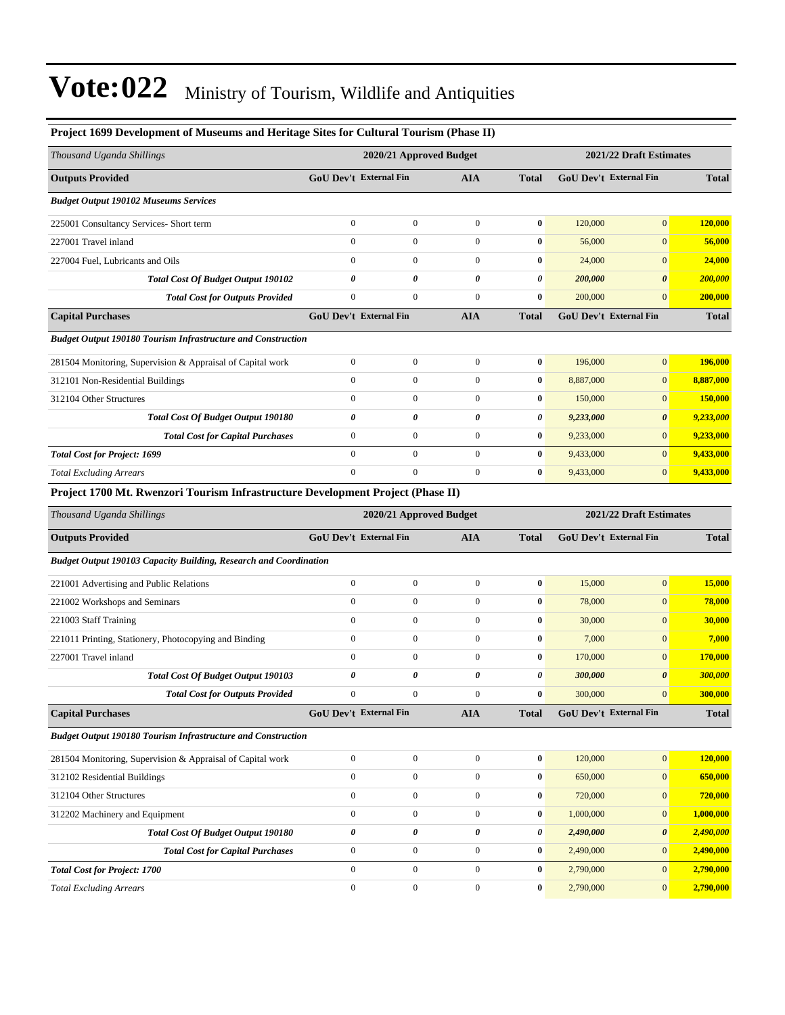| Project 1699 Development of Museums and Heritage Sites for Cultural Tourism (Phase II) |                               |                         |                  |                  |           |                               |              |
|----------------------------------------------------------------------------------------|-------------------------------|-------------------------|------------------|------------------|-----------|-------------------------------|--------------|
| Thousand Uganda Shillings                                                              |                               | 2020/21 Approved Budget |                  |                  |           | 2021/22 Draft Estimates       |              |
| <b>Outputs Provided</b>                                                                | <b>GoU Dev't External Fin</b> |                         | <b>AIA</b>       | <b>Total</b>     |           | <b>GoU Dev't External Fin</b> | <b>Total</b> |
| <b>Budget Output 190102 Museums Services</b>                                           |                               |                         |                  |                  |           |                               |              |
| 225001 Consultancy Services- Short term                                                | $\mathbf{0}$                  | $\boldsymbol{0}$        | $\boldsymbol{0}$ | $\bf{0}$         | 120,000   | $\mathbf{0}$                  | 120,000      |
| 227001 Travel inland                                                                   | $\boldsymbol{0}$              | $\boldsymbol{0}$        | $\boldsymbol{0}$ | $\bf{0}$         | 56,000    | $\mathbf{0}$                  | 56,000       |
| 227004 Fuel. Lubricants and Oils                                                       | $\boldsymbol{0}$              | $\boldsymbol{0}$        | $\boldsymbol{0}$ | $\bf{0}$         | 24,000    | $\mathbf{0}$                  | 24,000       |
| Total Cost Of Budget Output 190102                                                     | 0                             | 0                       | 0                | 0                | 200,000   | $\boldsymbol{\theta}$         | 200,000      |
| <b>Total Cost for Outputs Provided</b>                                                 | $\mathbf{0}$                  | $\boldsymbol{0}$        | $\boldsymbol{0}$ | $\bf{0}$         | 200,000   | $\mathbf{0}$                  | 200,000      |
| <b>Capital Purchases</b>                                                               | <b>GoU Dev't External Fin</b> |                         | <b>AIA</b>       | <b>Total</b>     |           | <b>GoU Dev't External Fin</b> | <b>Total</b> |
| <b>Budget Output 190180 Tourism Infrastructure and Construction</b>                    |                               |                         |                  |                  |           |                               |              |
| 281504 Monitoring, Supervision & Appraisal of Capital work                             | $\boldsymbol{0}$              | $\boldsymbol{0}$        | $\boldsymbol{0}$ | $\bf{0}$         | 196,000   | $\mathbf{0}$                  | 196,000      |
| 312101 Non-Residential Buildings                                                       | $\boldsymbol{0}$              | $\boldsymbol{0}$        | $\boldsymbol{0}$ | $\bf{0}$         | 8,887,000 | $\mathbf{0}$                  | 8,887,000    |
| 312104 Other Structures                                                                | $\boldsymbol{0}$              | $\boldsymbol{0}$        | $\boldsymbol{0}$ | $\bf{0}$         | 150,000   | $\mathbf{0}$                  | 150,000      |
| Total Cost Of Budget Output 190180                                                     | 0                             | 0                       | 0                | 0                | 9,233,000 | $\boldsymbol{\theta}$         | 9,233,000    |
| <b>Total Cost for Capital Purchases</b>                                                | $\mathbf{0}$                  | $\boldsymbol{0}$        | $\boldsymbol{0}$ | $\bf{0}$         | 9,233,000 | $\mathbf{0}$                  | 9,233,000    |
| <b>Total Cost for Project: 1699</b>                                                    | $\mathbf{0}$                  | $\mathbf{0}$            | $\mathbf{0}$     | $\bf{0}$         | 9,433,000 | $\mathbf{0}$                  | 9,433,000    |
| <b>Total Excluding Arrears</b>                                                         | $\boldsymbol{0}$              | $\boldsymbol{0}$        | $\mathbf{0}$     | $\bf{0}$         | 9,433,000 | $\mathbf{0}$                  | 9,433,000    |
| Project 1700 Mt. Rwenzori Tourism Infrastructure Development Project (Phase II)        |                               |                         |                  |                  |           |                               |              |
| Thousand Uganda Shillings                                                              |                               | 2020/21 Approved Budget |                  |                  |           | 2021/22 Draft Estimates       |              |
| <b>Outputs Provided</b>                                                                | GoU Dev't External Fin        |                         | <b>AIA</b>       | <b>Total</b>     |           | GoU Dev't External Fin        | <b>Total</b> |
| <b>Budget Output 190103 Capacity Building, Research and Coordination</b>               |                               |                         |                  |                  |           |                               |              |
| 221001 Advertising and Public Relations                                                | $\boldsymbol{0}$              | $\boldsymbol{0}$        | $\boldsymbol{0}$ | $\pmb{0}$        | 15,000    | $\mathbf{0}$                  | 15,000       |
| 221002 Workshops and Seminars                                                          | $\mathbf{0}$                  | $\boldsymbol{0}$        | $\boldsymbol{0}$ | $\bf{0}$         |           |                               |              |
| 221003 Staff Training                                                                  |                               |                         |                  |                  | 78,000    | $\mathbf{0}$                  | 78,000       |
|                                                                                        | $\mathbf{0}$                  | $\mathbf{0}$            | $\boldsymbol{0}$ | $\bf{0}$         | 30,000    | $\mathbf{0}$                  | 30,000       |
| 221011 Printing, Stationery, Photocopying and Binding                                  | $\mathbf{0}$                  | $\boldsymbol{0}$        | $\boldsymbol{0}$ | $\bf{0}$         | 7,000     | $\mathbf{0}$                  | 7,000        |
| 227001 Travel inland                                                                   | $\boldsymbol{0}$              | $\boldsymbol{0}$        | $\boldsymbol{0}$ | $\bf{0}$         | 170,000   | $\mathbf{0}$                  | 170,000      |
| Total Cost Of Budget Output 190103                                                     | 0                             | 0                       | 0                | 0                | 300,000   | $\boldsymbol{\theta}$         | 300,000      |
| <b>Total Cost for Outputs Provided</b>                                                 | $\boldsymbol{0}$              |                         | $\boldsymbol{0}$ | $\bf{0}$         | 300,000   | $\mathbf{0}$                  | 300,000      |
| <b>Capital Purchases</b>                                                               | GoU Dev't External Fin        |                         | <b>AIA</b>       | <b>Total</b>     |           | GoU Dev't External Fin        | <b>Total</b> |
| <b>Budget Output 190180 Tourism Infrastructure and Construction</b>                    |                               |                         |                  |                  |           |                               |              |
| 281504 Monitoring, Supervision & Appraisal of Capital work                             | $\boldsymbol{0}$              | $\boldsymbol{0}$        | $\boldsymbol{0}$ | $\bf{0}$         | 120,000   | $\mathbf{0}$                  | 120,000      |
| 312102 Residential Buildings                                                           | $\boldsymbol{0}$              | $\boldsymbol{0}$        | $\boldsymbol{0}$ | $\boldsymbol{0}$ | 650,000   | $\mathbf{0}$                  | 650,000      |
| 312104 Other Structures                                                                | $\boldsymbol{0}$              | $\boldsymbol{0}$        | $\boldsymbol{0}$ | $\bf{0}$         | 720,000   | $\mathbf{0}$                  | 720,000      |
| 312202 Machinery and Equipment                                                         | $\boldsymbol{0}$              | $\boldsymbol{0}$        | $\boldsymbol{0}$ | $\bf{0}$         | 1,000,000 | $\mathbf{0}$                  | 1,000,000    |
| Total Cost Of Budget Output 190180                                                     | 0                             | 0                       | 0                | 0                | 2,490,000 | $\boldsymbol{\theta}$         | 2,490,000    |
| <b>Total Cost for Capital Purchases</b>                                                | $\boldsymbol{0}$              | $\boldsymbol{0}$        | $\boldsymbol{0}$ | $\bf{0}$         | 2,490,000 | $\mathbf{0}$                  | 2,490,000    |
| <b>Total Cost for Project: 1700</b>                                                    | $\boldsymbol{0}$              | $\boldsymbol{0}$        | $\boldsymbol{0}$ | $\boldsymbol{0}$ | 2,790,000 | $\mathbf{0}$                  | 2,790,000    |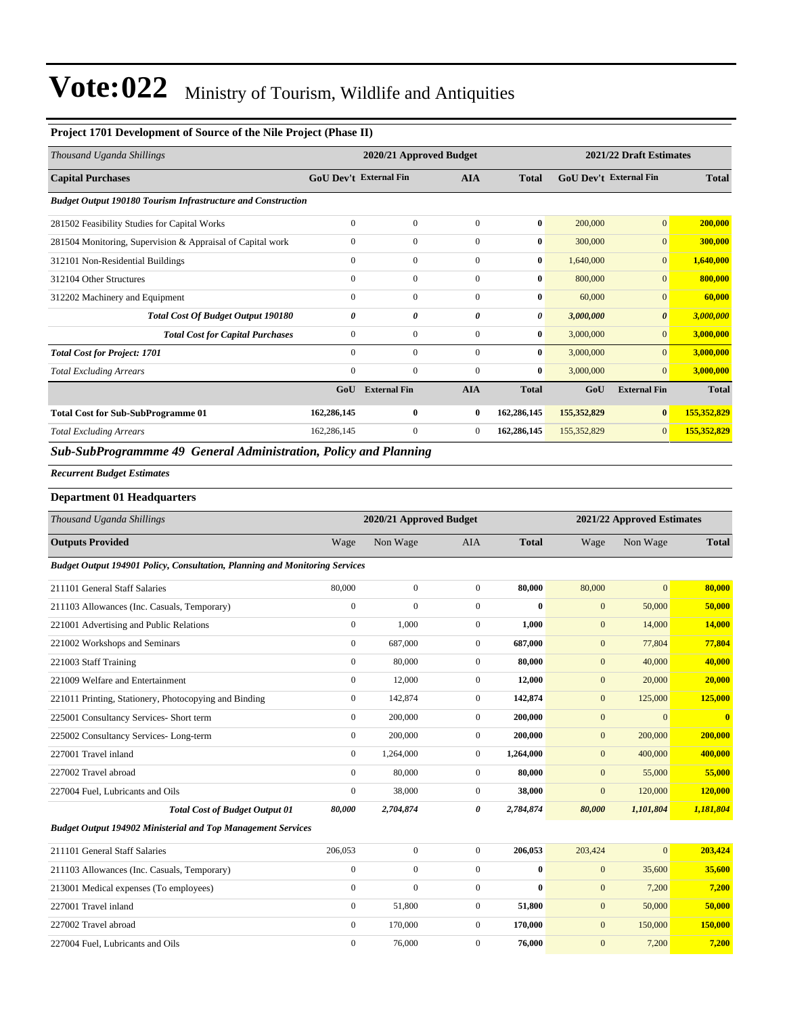#### **Project 1701 Development of Source of the Nile Project (Phase II)**

| Thousand Uganda Shillings                                           |                               | 2021/22 Draft Estimates<br>2020/21 Approved Budget |                |              |                               |                       |              |
|---------------------------------------------------------------------|-------------------------------|----------------------------------------------------|----------------|--------------|-------------------------------|-----------------------|--------------|
| <b>Capital Purchases</b>                                            | <b>GoU Dev't External Fin</b> |                                                    | <b>AIA</b>     | <b>Total</b> | <b>GoU</b> Dev't External Fin |                       | <b>Total</b> |
| <b>Budget Output 190180 Tourism Infrastructure and Construction</b> |                               |                                                    |                |              |                               |                       |              |
| 281502 Feasibility Studies for Capital Works                        | $\mathbf{0}$                  | $\mathbf{0}$                                       | $\mathbf{0}$   | $\bf{0}$     | 200,000                       | $\mathbf{0}$          | 200,000      |
| 281504 Monitoring, Supervision & Appraisal of Capital work          | $\boldsymbol{0}$              | $\mathbf{0}$                                       | $\mathbf{0}$   | $\bf{0}$     | 300,000                       | $\mathbf{0}$          | 300,000      |
| 312101 Non-Residential Buildings                                    | $\mathbf{0}$                  | $\mathbf{0}$                                       | $\mathbf{0}$   | $\bf{0}$     | 1,640,000                     | $\mathbf{0}$          | 1,640,000    |
| 312104 Other Structures                                             | $\mathbf{0}$                  | $\mathbf{0}$                                       | $\overline{0}$ | $\bf{0}$     | 800,000                       | $\overline{0}$        | 800,000      |
| 312202 Machinery and Equipment                                      | $\mathbf{0}$                  | $\mathbf{0}$                                       | $\mathbf{0}$   | $\bf{0}$     | 60,000                        | $\overline{0}$        | 60,000       |
| <b>Total Cost Of Budget Output 190180</b>                           | 0                             | 0                                                  | 0              | 0            | 3,000,000                     | $\boldsymbol{\theta}$ | 3,000,000    |
| <b>Total Cost for Capital Purchases</b>                             | $\mathbf{0}$                  | $\mathbf{0}$                                       | $\mathbf{0}$   | $\bf{0}$     | 3,000,000                     | $\overline{0}$        | 3,000,000    |
| <b>Total Cost for Project: 1701</b>                                 | $\mathbf{0}$                  | $\mathbf{0}$                                       | $\mathbf{0}$   | $\bf{0}$     | 3,000,000                     | $\overline{0}$        | 3,000,000    |
| <b>Total Excluding Arrears</b>                                      | $\mathbf{0}$                  | $\mathbf{0}$                                       | $\mathbf{0}$   | $\bf{0}$     | 3,000,000                     | $\mathbf{0}$          | 3,000,000    |
|                                                                     | GoU                           | <b>External Fin</b>                                | <b>AIA</b>     | <b>Total</b> | GoU                           | <b>External Fin</b>   | <b>Total</b> |
| <b>Total Cost for Sub-SubProgramme 01</b>                           | 162,286,145                   | $\bf{0}$                                           | $\bf{0}$       | 162,286,145  | 155,352,829                   | $\bf{0}$              | 155,352,829  |
| <b>Total Excluding Arrears</b>                                      | 162,286,145                   | $\mathbf{0}$                                       | $\overline{0}$ | 162,286,145  | 155, 352, 829                 | $\mathbf{0}$          | 155,352,829  |
| Sub-SubProgrammme 49 General Administration, Policy and Planning    |                               |                                                    |                |              |                               |                       |              |

*Recurrent Budget Estimates*

#### **Department 01 Headquarters**

| Thousand Uganda Shillings                                                          |                  | 2020/21 Approved Budget |                |              | 2021/22 Approved Estimates |              |                         |
|------------------------------------------------------------------------------------|------------------|-------------------------|----------------|--------------|----------------------------|--------------|-------------------------|
| <b>Outputs Provided</b>                                                            | Wage             | Non Wage                | <b>AIA</b>     | <b>Total</b> | Wage                       | Non Wage     | <b>Total</b>            |
| <b>Budget Output 194901 Policy, Consultation, Planning and Monitoring Services</b> |                  |                         |                |              |                            |              |                         |
| 211101 General Staff Salaries                                                      | 80,000           | $\overline{0}$          | $\mathbf{0}$   | 80,000       | 80,000                     | $\mathbf{0}$ | 80,000                  |
| 211103 Allowances (Inc. Casuals, Temporary)                                        | $\overline{0}$   | $\mathbf{0}$            | $\overline{0}$ | $\bf{0}$     | $\mathbf{0}$               | 50,000       | 50,000                  |
| 221001 Advertising and Public Relations                                            | $\overline{0}$   | 1,000                   | $\overline{0}$ | 1,000        | $\mathbf{0}$               | 14,000       | 14,000                  |
| 221002 Workshops and Seminars                                                      | $\boldsymbol{0}$ | 687,000                 | $\mathbf{0}$   | 687,000      | $\mathbf{0}$               | 77,804       | 77,804                  |
| 221003 Staff Training                                                              | $\boldsymbol{0}$ | 80,000                  | $\mathbf{0}$   | 80,000       | $\mathbf{0}$               | 40,000       | 40,000                  |
| 221009 Welfare and Entertainment                                                   | $\overline{0}$   | 12,000                  | $\overline{0}$ | 12,000       | $\mathbf{0}$               | 20,000       | 20,000                  |
| 221011 Printing, Stationery, Photocopying and Binding                              | $\boldsymbol{0}$ | 142,874                 | $\overline{0}$ | 142,874      | $\mathbf{0}$               | 125,000      | 125,000                 |
| 225001 Consultancy Services- Short term                                            | $\overline{0}$   | 200,000                 | $\overline{0}$ | 200,000      | $\mathbf{0}$               | $\mathbf{0}$ | $\overline{\mathbf{0}}$ |
| 225002 Consultancy Services-Long-term                                              | $\overline{0}$   | 200,000                 | $\overline{0}$ | 200,000      | $\mathbf{0}$               | 200,000      | 200,000                 |
| 227001 Travel inland                                                               | $\overline{0}$   | 1,264,000               | $\overline{0}$ | 1,264,000    | $\mathbf{0}$               | 400,000      | 400,000                 |
| 227002 Travel abroad                                                               | $\Omega$         | 80,000                  | $\overline{0}$ | 80,000       | $\mathbf{0}$               | 55,000       | 55,000                  |
| 227004 Fuel, Lubricants and Oils                                                   | $\mathbf{0}$     | 38,000                  | $\overline{0}$ | 38,000       | $\mathbf{0}$               | 120,000      | 120,000                 |
| <b>Total Cost of Budget Output 01</b>                                              | 80,000           | 2,704,874               | 0              | 2,784,874    | 80,000                     | 1,101,804    | 1,181,804               |
| <b>Budget Output 194902 Ministerial and Top Management Services</b>                |                  |                         |                |              |                            |              |                         |
| 211101 General Staff Salaries                                                      | 206,053          | $\boldsymbol{0}$        | $\mathbf{0}$   | 206,053      | 203,424                    | $\mathbf{0}$ | 203,424                 |
| 211103 Allowances (Inc. Casuals, Temporary)                                        | $\boldsymbol{0}$ | $\overline{0}$          | $\overline{0}$ | $\mathbf{0}$ | $\mathbf{0}$               | 35,600       | 35,600                  |
| 213001 Medical expenses (To employees)                                             | $\overline{0}$   | $\mathbf{0}$            | $\mathbf{0}$   | $\mathbf{0}$ | $\mathbf{0}$               | 7,200        | 7,200                   |
| 227001 Travel inland                                                               | $\overline{0}$   | 51,800                  | $\overline{0}$ | 51,800       | $\mathbf{0}$               | 50,000       | 50,000                  |
| 227002 Travel abroad                                                               | $\overline{0}$   | 170,000                 | $\overline{0}$ | 170,000      | $\mathbf{0}$               | 150,000      | 150,000                 |
| 227004 Fuel, Lubricants and Oils                                                   | $\Omega$         | 76,000                  | $\mathbf{0}$   | 76,000       | $\mathbf{0}$               | 7.200        | 7,200                   |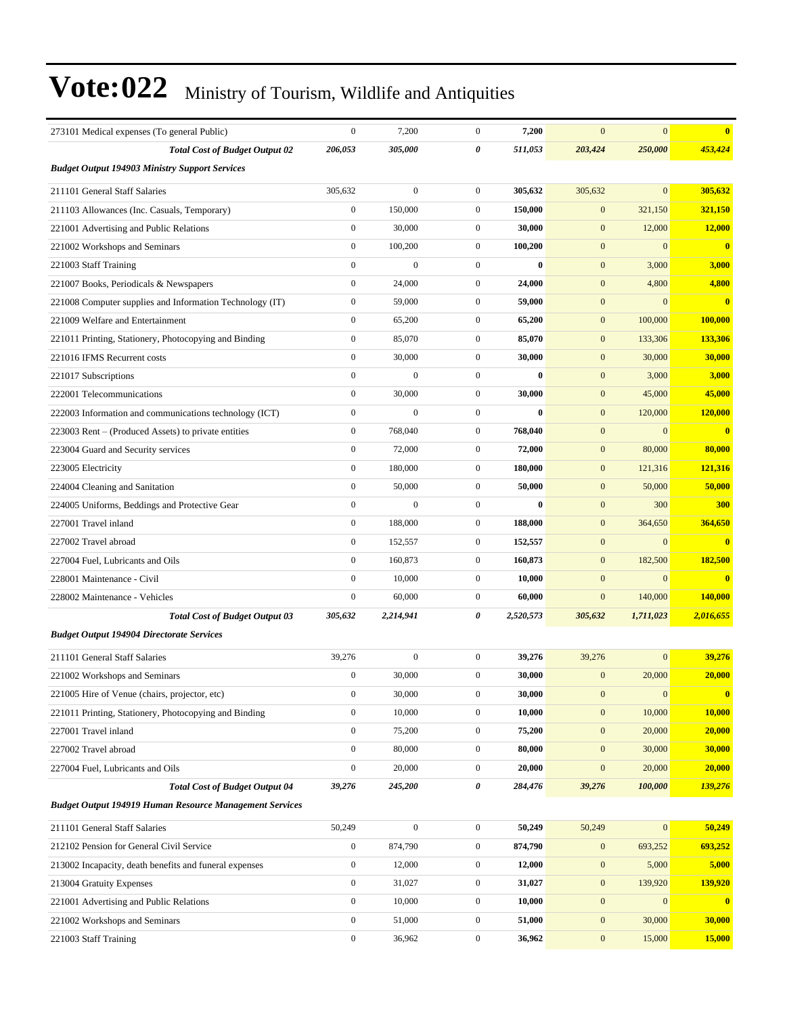| 273101 Medical expenses (To general Public)                    | $\boldsymbol{0}$ | 7,200            | $\mathbf{0}$     | 7,200        | $\mathbf{0}$     | $\overline{0}$   | $\bf{0}$                |
|----------------------------------------------------------------|------------------|------------------|------------------|--------------|------------------|------------------|-------------------------|
| <b>Total Cost of Budget Output 02</b>                          | 206,053          | 305,000          | 0                | 511,053      | 203,424          | 250,000          | 453,424                 |
| <b>Budget Output 194903 Ministry Support Services</b>          |                  |                  |                  |              |                  |                  |                         |
| 211101 General Staff Salaries                                  | 305.632          | $\overline{0}$   | $\mathbf{0}$     | 305,632      | 305,632          | $\overline{0}$   | 305,632                 |
| 211103 Allowances (Inc. Casuals, Temporary)                    | $\boldsymbol{0}$ | 150,000          | $\mathbf{0}$     | 150,000      | $\mathbf{0}$     | 321,150          | 321,150                 |
| 221001 Advertising and Public Relations                        | $\boldsymbol{0}$ | 30,000           | $\mathbf{0}$     | 30,000       | $\mathbf{0}$     | 12,000           | 12,000                  |
| 221002 Workshops and Seminars                                  | $\boldsymbol{0}$ | 100,200          | $\mathbf{0}$     | 100,200      | $\mathbf{0}$     | $\boldsymbol{0}$ | $\bf{0}$                |
| 221003 Staff Training                                          | $\mathbf{0}$     | $\mathbf{0}$     | $\boldsymbol{0}$ | $\mathbf{0}$ | $\mathbf{0}$     | 3,000            | 3,000                   |
| 221007 Books, Periodicals & Newspapers                         | $\mathbf{0}$     | 24,000           | $\mathbf{0}$     | 24,000       | $\mathbf{0}$     | 4,800            | 4,800                   |
| 221008 Computer supplies and Information Technology (IT)       | $\boldsymbol{0}$ | 59,000           | $\boldsymbol{0}$ | 59,000       | $\mathbf{0}$     | $\mathbf{0}$     | $\bf{0}$                |
| 221009 Welfare and Entertainment                               | $\boldsymbol{0}$ | 65,200           | $\mathbf{0}$     | 65,200       | $\mathbf{0}$     | 100,000          | 100,000                 |
| 221011 Printing, Stationery, Photocopying and Binding          | $\boldsymbol{0}$ | 85,070           | $\boldsymbol{0}$ | 85,070       | $\mathbf{0}$     | 133,306          | 133,306                 |
| 221016 IFMS Recurrent costs                                    | $\mathbf{0}$     | 30,000           | $\mathbf{0}$     | 30,000       | $\mathbf{0}$     | 30,000           | 30,000                  |
| 221017 Subscriptions                                           | $\mathbf{0}$     | $\mathbf{0}$     | $\mathbf{0}$     | $\bf{0}$     | $\mathbf{0}$     | 3,000            | 3,000                   |
| 222001 Telecommunications                                      | $\mathbf{0}$     | 30,000           | $\mathbf{0}$     | 30,000       | $\boldsymbol{0}$ | 45,000           | 45,000                  |
| 222003 Information and communications technology (ICT)         | $\boldsymbol{0}$ | $\boldsymbol{0}$ | $\boldsymbol{0}$ | $\bf{0}$     | $\mathbf{0}$     | 120,000          | 120,000                 |
| 223003 Rent – (Produced Assets) to private entities            | $\boldsymbol{0}$ | 768,040          | $\boldsymbol{0}$ | 768,040      | $\mathbf{0}$     | $\overline{0}$   | $\bf{0}$                |
| 223004 Guard and Security services                             | $\mathbf{0}$     | 72,000           | $\mathbf{0}$     | 72,000       | $\mathbf{0}$     | 80,000           | 80,000                  |
| 223005 Electricity                                             | $\mathbf{0}$     | 180,000          | $\mathbf{0}$     | 180,000      | $\mathbf{0}$     | 121,316          | 121,316                 |
| 224004 Cleaning and Sanitation                                 | $\mathbf{0}$     | 50,000           | $\mathbf{0}$     | 50,000       | $\mathbf{0}$     | 50,000           | 50,000                  |
| 224005 Uniforms, Beddings and Protective Gear                  | $\boldsymbol{0}$ | $\boldsymbol{0}$ | $\boldsymbol{0}$ | $\bf{0}$     | $\mathbf{0}$     | 300              | 300                     |
| 227001 Travel inland                                           | $\boldsymbol{0}$ | 188,000          | $\mathbf{0}$     | 188,000      | $\mathbf{0}$     | 364,650          | 364,650                 |
| 227002 Travel abroad                                           | $\mathbf{0}$     | 152,557          | $\mathbf{0}$     | 152,557      | $\mathbf{0}$     | $\Omega$         | $\overline{\mathbf{0}}$ |
| 227004 Fuel, Lubricants and Oils                               | $\mathbf{0}$     | 160,873          | $\mathbf{0}$     | 160,873      | $\mathbf{0}$     | 182,500          | 182,500                 |
| 228001 Maintenance - Civil                                     | $\mathbf{0}$     | 10,000           | $\boldsymbol{0}$ | 10,000       | $\mathbf{0}$     | $\overline{0}$   | $\bf{0}$                |
| 228002 Maintenance - Vehicles                                  | $\boldsymbol{0}$ | 60,000           | $\mathbf{0}$     | 60,000       | $\mathbf{0}$     | 140,000          | 140,000                 |
| <b>Total Cost of Budget Output 03</b>                          | 305,632          | 2,214,941        | 0                | 2,520,573    | 305,632          | 1,711,023        | 2,016,655               |
| <b>Budget Output 194904 Directorate Services</b>               |                  |                  |                  |              |                  |                  |                         |
| 211101 General Staff Salaries                                  | 39,276           | $\boldsymbol{0}$ | $\mathbf{0}$     | 39,276       | 39,276           | $\overline{0}$   | 39,276                  |
| 221002 Workshops and Seminars                                  | $\boldsymbol{0}$ | 30,000           | $\mathbf{0}$     | 30,000       | $\mathbf{0}$     | 20,000           | 20,000                  |
| 221005 Hire of Venue (chairs, projector, etc)                  | $\boldsymbol{0}$ | 30,000           | $\overline{0}$   | 30,000       | $\mathbf{0}$     | $\boldsymbol{0}$ | $\bf{0}$                |
| 221011 Printing, Stationery, Photocopying and Binding          | $\boldsymbol{0}$ | 10,000           | $\boldsymbol{0}$ | 10,000       | $\boldsymbol{0}$ | 10,000           | 10,000                  |
| 227001 Travel inland                                           | $\boldsymbol{0}$ | 75,200           | $\boldsymbol{0}$ | 75,200       | $\boldsymbol{0}$ | 20,000           | 20,000                  |
| 227002 Travel abroad                                           | $\boldsymbol{0}$ | 80,000           | $\boldsymbol{0}$ | 80,000       | $\boldsymbol{0}$ | 30,000           | 30,000                  |
| 227004 Fuel, Lubricants and Oils                               | $\boldsymbol{0}$ | 20,000           | $\mathbf{0}$     | 20,000       | $\mathbf{0}$     | 20,000           | 20,000                  |
| <b>Total Cost of Budget Output 04</b>                          | 39,276           | 245,200          | 0                | 284,476      | 39,276           | 100,000          | 139,276                 |
| <b>Budget Output 194919 Human Resource Management Services</b> |                  |                  |                  |              |                  |                  |                         |
| 211101 General Staff Salaries                                  | 50,249           | $\boldsymbol{0}$ | $\boldsymbol{0}$ | 50,249       | 50,249           | $\boldsymbol{0}$ | 50,249                  |
| 212102 Pension for General Civil Service                       | $\boldsymbol{0}$ | 874,790          | $\boldsymbol{0}$ | 874,790      | $\boldsymbol{0}$ | 693,252          | 693,252                 |
| 213002 Incapacity, death benefits and funeral expenses         | $\boldsymbol{0}$ | 12,000           | $\boldsymbol{0}$ | 12,000       | $\boldsymbol{0}$ | 5,000            | 5,000                   |
| 213004 Gratuity Expenses                                       | $\boldsymbol{0}$ | 31,027           | $\boldsymbol{0}$ | 31,027       | $\boldsymbol{0}$ | 139,920          | 139,920                 |
| 221001 Advertising and Public Relations                        | $\boldsymbol{0}$ | 10,000           | $\boldsymbol{0}$ | 10,000       | $\boldsymbol{0}$ | $\boldsymbol{0}$ | $\bf{0}$                |
| 221002 Workshops and Seminars                                  | $\boldsymbol{0}$ | 51,000           | $\boldsymbol{0}$ | 51,000       | $\boldsymbol{0}$ | 30,000           | 30,000                  |
| 221003 Staff Training                                          | $\boldsymbol{0}$ | 36,962           | $\boldsymbol{0}$ | 36,962       | $\boldsymbol{0}$ | 15,000           | 15,000                  |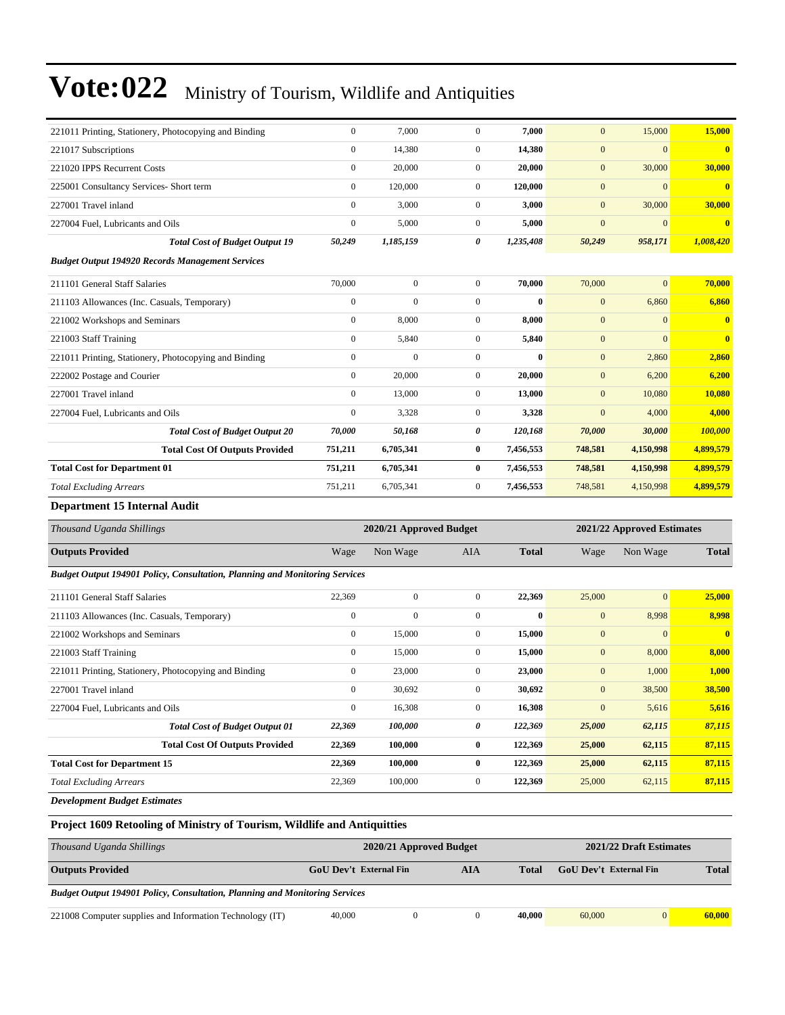| 221011 Printing, Stationery, Photocopying and Binding   | $\mathbf{0}$   | 7.000        | $\mathbf{0}$     | 7,000        | $\mathbf{0}$   | 15,000         | 15,000                  |
|---------------------------------------------------------|----------------|--------------|------------------|--------------|----------------|----------------|-------------------------|
| 221017 Subscriptions                                    | $\mathbf{0}$   | 14,380       | $\mathbf{0}$     | 14,380       | $\mathbf{0}$   | $\overline{0}$ | $\mathbf{0}$            |
| 221020 IPPS Recurrent Costs                             | $\mathbf{0}$   | 20,000       | $\overline{0}$   | 20,000       | $\mathbf{0}$   | 30,000         | 30,000                  |
| 225001 Consultancy Services- Short term                 | $\mathbf{0}$   | 120,000      | $\Omega$         | 120,000      | $\mathbf{0}$   | $\Omega$       | $\bf{0}$                |
| 227001 Travel inland                                    | $\mathbf{0}$   | 3,000        | $\mathbf{0}$     | 3,000        | $\mathbf{0}$   | 30,000         | 30,000                  |
| 227004 Fuel, Lubricants and Oils                        | $\mathbf{0}$   | 5,000        | $\overline{0}$   | 5,000        | $\overline{0}$ | $\overline{0}$ | $\bf{0}$                |
| <b>Total Cost of Budget Output 19</b>                   | 50,249         | 1,185,159    | 0                | 1,235,408    | 50,249         | 958,171        | 1,008,420               |
| <b>Budget Output 194920 Records Management Services</b> |                |              |                  |              |                |                |                         |
| 211101 General Staff Salaries                           | 70,000         | $\mathbf{0}$ | $\mathbf{0}$     | 70,000       | 70,000         | $\overline{0}$ | 70,000                  |
| 211103 Allowances (Inc. Casuals, Temporary)             | $\mathbf{0}$   | $\mathbf{0}$ | $\mathbf{0}$     | $\mathbf{0}$ | $\mathbf{0}$   | 6,860          | 6,860                   |
| 221002 Workshops and Seminars                           | $\overline{0}$ | 8,000        | $\mathbf{0}$     | 8,000        | $\mathbf{0}$   | $\overline{0}$ | $\mathbf{0}$            |
| 221003 Staff Training                                   | $\mathbf{0}$   | 5,840        | $\mathbf{0}$     | 5,840        | $\mathbf{0}$   | $\overline{0}$ | $\overline{\mathbf{0}}$ |
| 221011 Printing, Stationery, Photocopying and Binding   | $\mathbf{0}$   | $\Omega$     | $\Omega$         | $\bf{0}$     | $\mathbf{0}$   | 2,860          | 2,860                   |
| 222002 Postage and Courier                              | $\mathbf{0}$   | 20,000       | $\mathbf{0}$     | 20,000       | $\mathbf{0}$   | 6,200          | 6,200                   |
| 227001 Travel inland                                    | $\mathbf{0}$   | 13,000       | $\mathbf{0}$     | 13,000       | $\mathbf{0}$   | 10,080         | 10,080                  |
| 227004 Fuel, Lubricants and Oils                        | $\mathbf{0}$   | 3,328        | $\mathbf{0}$     | 3,328        | $\mathbf{0}$   | 4,000          | 4,000                   |
| <b>Total Cost of Budget Output 20</b>                   | 70,000         | 50,168       | 0                | 120,168      | 70,000         | 30,000         | 100,000                 |
| <b>Total Cost Of Outputs Provided</b>                   | 751,211        | 6,705,341    | $\bf{0}$         | 7,456,553    | 748,581        | 4,150,998      | 4,899,579               |
| <b>Total Cost for Department 01</b>                     | 751,211        | 6,705,341    | 0                | 7,456,553    | 748,581        | 4,150,998      | 4,899,579               |
| <b>Total Excluding Arrears</b>                          | 751,211        | 6,705,341    | $\boldsymbol{0}$ | 7,456,553    | 748,581        | 4,150,998      | 4,899,579               |
| <b>Department 15 Internal Audit</b>                     |                |              |                  |              |                |                |                         |

| Thousand Uganda Shillings                                                          |                  | 2020/21 Approved Budget |                |              | 2021/22 Approved Estimates |              |                |  |
|------------------------------------------------------------------------------------|------------------|-------------------------|----------------|--------------|----------------------------|--------------|----------------|--|
| <b>Outputs Provided</b>                                                            | Wage             | Non Wage                | <b>AIA</b>     | <b>Total</b> | Wage                       | Non Wage     | <b>Total</b>   |  |
| <b>Budget Output 194901 Policy, Consultation, Planning and Monitoring Services</b> |                  |                         |                |              |                            |              |                |  |
| 211101 General Staff Salaries                                                      | 22,369           | $\mathbf{0}$            | $\Omega$       | 22,369       | 25,000                     | $\mathbf{0}$ | 25,000         |  |
| 211103 Allowances (Inc. Casuals, Temporary)                                        | $\mathbf{0}$     | $\mathbf{0}$            | $\overline{0}$ | $\mathbf{0}$ | $\mathbf{0}$               | 8,998        | 8,998          |  |
| 221002 Workshops and Seminars                                                      | $\boldsymbol{0}$ | 15,000                  | $\overline{0}$ | 15,000       | $\mathbf{0}$               | $\mathbf{0}$ | $\overline{0}$ |  |
| 221003 Staff Training                                                              | $\overline{0}$   | 15,000                  | $\overline{0}$ | 15,000       | $\mathbf{0}$               | 8,000        | 8,000          |  |
| 221011 Printing, Stationery, Photocopying and Binding                              | $\mathbf{0}$     | 23,000                  | $\overline{0}$ | 23,000       | $\overline{0}$             | 1,000        | 1,000          |  |
| 227001 Travel inland                                                               | $\overline{0}$   | 30,692                  | $\overline{0}$ | 30,692       | $\mathbf{0}$               | 38,500       | 38,500         |  |
| 227004 Fuel, Lubricants and Oils                                                   | $\mathbf{0}$     | 16,308                  | $\overline{0}$ | 16,308       | $\mathbf{0}$               | 5,616        | 5,616          |  |
| <b>Total Cost of Budget Output 01</b>                                              | 22,369           | 100,000                 | 0              | 122,369      | 25,000                     | 62,115       | 87,115         |  |
| <b>Total Cost Of Outputs Provided</b>                                              | 22,369           | 100,000                 | $\bf{0}$       | 122,369      | 25,000                     | 62,115       | 87,115         |  |
| <b>Total Cost for Department 15</b>                                                | 22,369           | 100,000                 | $\bf{0}$       | 122,369      | 25,000                     | 62,115       | 87,115         |  |
| <b>Total Excluding Arrears</b>                                                     | 22,369           | 100,000                 | $\overline{0}$ | 122,369      | 25,000                     | 62,115       | 87,115         |  |
|                                                                                    |                  |                         |                |              |                            |              |                |  |

*Development Budget Estimates*

#### **Project 1609 Retooling of Ministry of Tourism, Wildlife and Antiquitties**

| Thousand Uganda Shillings                                                          |                        | 2020/21 Approved Budget |     | 2021/22 Draft Estimates |                               |                |              |
|------------------------------------------------------------------------------------|------------------------|-------------------------|-----|-------------------------|-------------------------------|----------------|--------------|
| <b>Outputs Provided</b>                                                            | GoU Dev't External Fin |                         | AIA | Total                   | <b>GoU</b> Dev't External Fin |                | <b>Total</b> |
| <b>Budget Output 194901 Policy, Consultation, Planning and Monitoring Services</b> |                        |                         |     |                         |                               |                |              |
| 221008 Computer supplies and Information Technology (IT)                           | 40,000                 |                         |     | 40,000                  | 60,000                        | $\overline{0}$ | 60,000       |